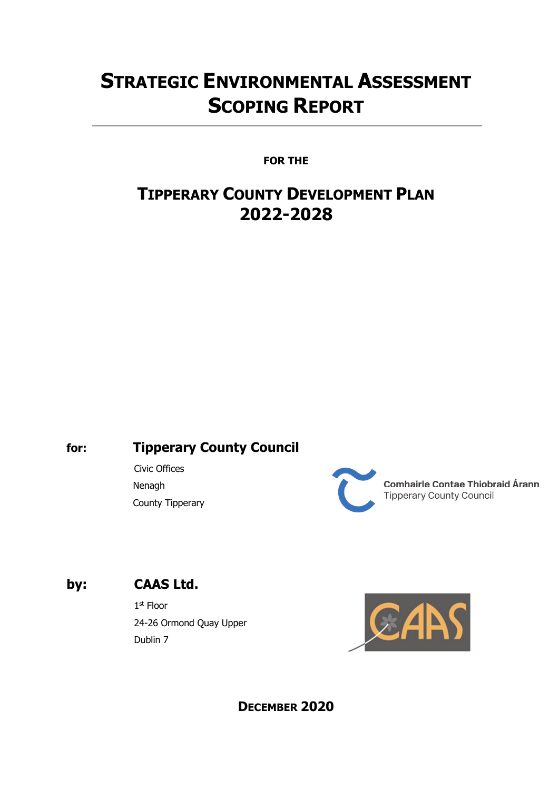# **STRATEGIC ENVIRONMENTAL ASSESSMENT SCOPING REPORT**

**FOR THE**

# **TIPPERARY COUNTY DEVELOPMENT PLAN 2022-2028**

# **for: Tipperary County Council**

 Civic Offices Nenagh County Tipperary

**Comhairle Contae Thiobraid Árann Tipperary County Council** 

# **by: CAAS Ltd.**

1st Floor 24-26 Ormond Quay Upper Dublin 7



**DECEMBER 2020**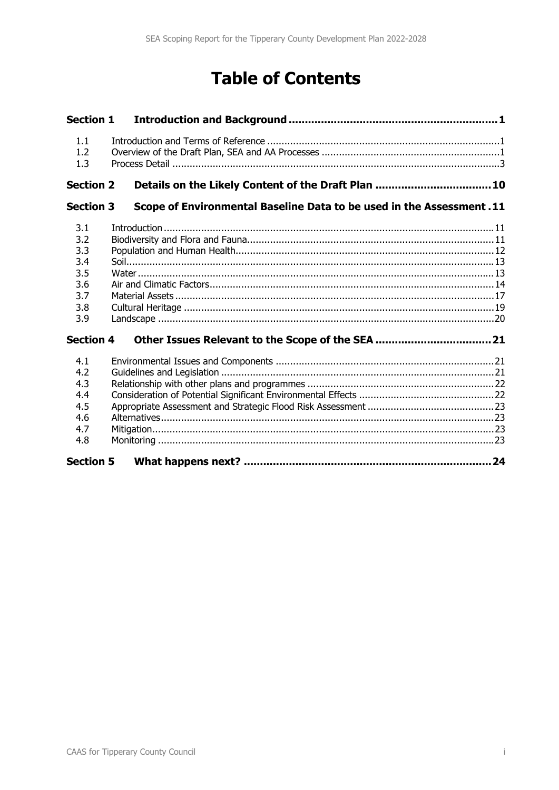# **Table of Contents**

| <b>Section 1</b>                                            |                                                                       |  |
|-------------------------------------------------------------|-----------------------------------------------------------------------|--|
| 1.1<br>1.2<br>1.3                                           |                                                                       |  |
| <b>Section 2</b>                                            | Details on the Likely Content of the Draft Plan  10                   |  |
| <b>Section 3</b>                                            | Scope of Environmental Baseline Data to be used in the Assessment. 11 |  |
| 3.1<br>3.2<br>3.3<br>3.4<br>3.5<br>3.6<br>3.7<br>3.8<br>3.9 |                                                                       |  |
| <b>Section 4</b>                                            |                                                                       |  |
| 4.1<br>4.2<br>4.3<br>4.4<br>4.5<br>4.6<br>4.7<br>4.8        |                                                                       |  |
| <b>Section 5</b>                                            |                                                                       |  |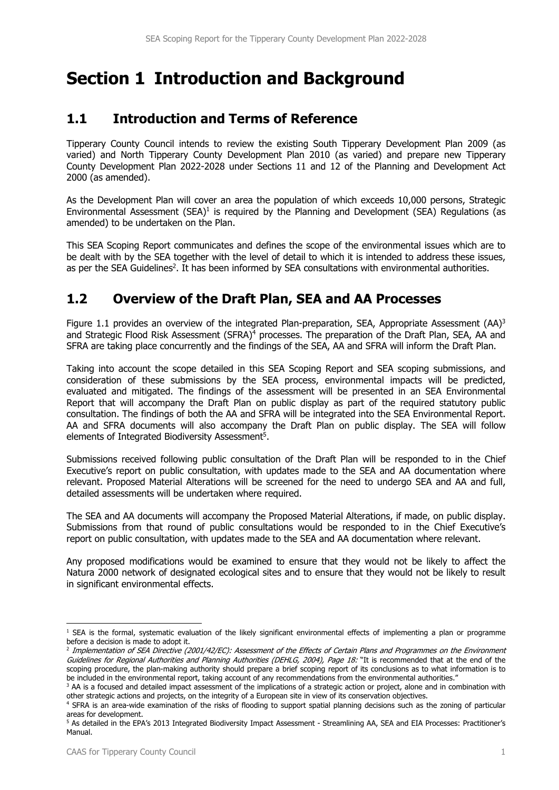# **Section 1 Introduction and Background**

### **1.1 Introduction and Terms of Reference**

Tipperary County Council intends to review the existing South Tipperary Development Plan 2009 (as varied) and North Tipperary County Development Plan 2010 (as varied) and prepare new Tipperary County Development Plan 2022-2028 under Sections 11 and 12 of the Planning and Development Act 2000 (as amended).

As the Development Plan will cover an area the population of which exceeds 10,000 persons, Strategic Environmental Assessment  $(SEA)^1$  is required by the Planning and Development (SEA) Requlations (as amended) to be undertaken on the Plan.

This SEA Scoping Report communicates and defines the scope of the environmental issues which are to be dealt with by the SEA together with the level of detail to which it is intended to address these issues, as per the SEA Guidelines<sup>2</sup>. It has been informed by SEA consultations with environmental authorities.

# **1.2 Overview of the Draft Plan, SEA and AA Processes**

Figure 1.1 provides an overview of the integrated Plan-preparation, SEA, Appropriate Assessment  $(AA)^3$ and Strategic Flood Risk Assessment (SFRA)<sup>4</sup> processes. The preparation of the Draft Plan, SEA, AA and SFRA are taking place concurrently and the findings of the SEA, AA and SFRA will inform the Draft Plan.

Taking into account the scope detailed in this SEA Scoping Report and SEA scoping submissions, and consideration of these submissions by the SEA process, environmental impacts will be predicted, evaluated and mitigated. The findings of the assessment will be presented in an SEA Environmental Report that will accompany the Draft Plan on public display as part of the required statutory public consultation. The findings of both the AA and SFRA will be integrated into the SEA Environmental Report. AA and SFRA documents will also accompany the Draft Plan on public display. The SEA will follow elements of Integrated Biodiversity Assessment5.

Submissions received following public consultation of the Draft Plan will be responded to in the Chief Executive's report on public consultation, with updates made to the SEA and AA documentation where relevant. Proposed Material Alterations will be screened for the need to undergo SEA and AA and full, detailed assessments will be undertaken where required.

The SEA and AA documents will accompany the Proposed Material Alterations, if made, on public display. Submissions from that round of public consultations would be responded to in the Chief Executive's report on public consultation, with updates made to the SEA and AA documentation where relevant.

Any proposed modifications would be examined to ensure that they would not be likely to affect the Natura 2000 network of designated ecological sites and to ensure that they would not be likely to result in significant environmental effects.

<sup>&</sup>lt;sup>1</sup> SEA is the formal, systematic evaluation of the likely significant environmental effects of implementing a plan or programme before a decision is made to adopt it.

<sup>&</sup>lt;sup>2</sup> Implementation of SEA Directive (2001/42/EC): Assessment of the Effects of Certain Plans and Programmes on the Environment Guidelines for Regional Authorities and Planning Authorities (DEHLG, 2004), Page 18: "It is recommended that at the end of the scoping procedure, the plan-making authority should prepare a brief scoping report of its conclusions as to what information is to be included in the environmental report, taking account of any recommendations from the environmental authorities."

<sup>&</sup>lt;sup>3</sup> AA is a focused and detailed impact assessment of the implications of a strategic action or project, alone and in combination with

other strategic actions and projects, on the integrity of a European site in view of its conservation objectives.<br><sup>4</sup> SFRA is an area-wide examination of the risks of flooding to support spatial planning decisions such as areas for development.

<sup>&</sup>lt;sup>5</sup> As detailed in the EPA's 2013 Integrated Biodiversity Impact Assessment - Streamlining AA, SEA and EIA Processes: Practitioner's Manual.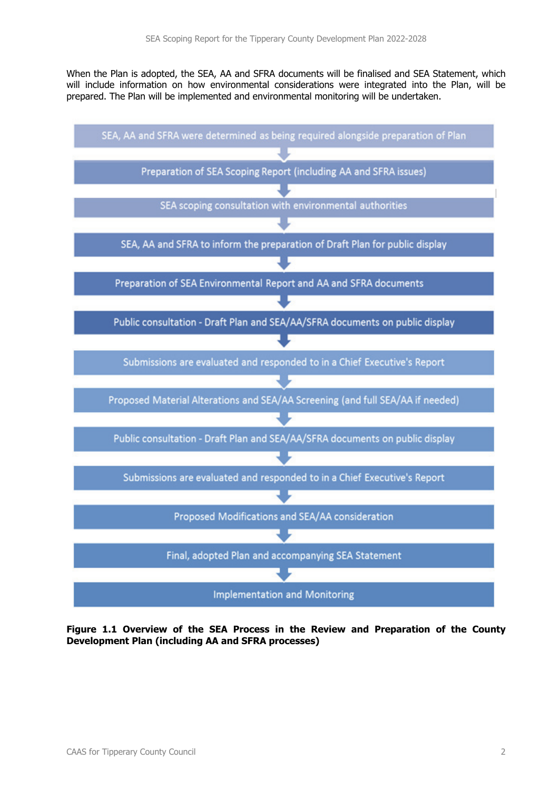When the Plan is adopted, the SEA, AA and SFRA documents will be finalised and SEA Statement, which will include information on how environmental considerations were integrated into the Plan, will be prepared. The Plan will be implemented and environmental monitoring will be undertaken.



**Figure 1.1 Overview of the SEA Process in the Review and Preparation of the County Development Plan (including AA and SFRA processes)**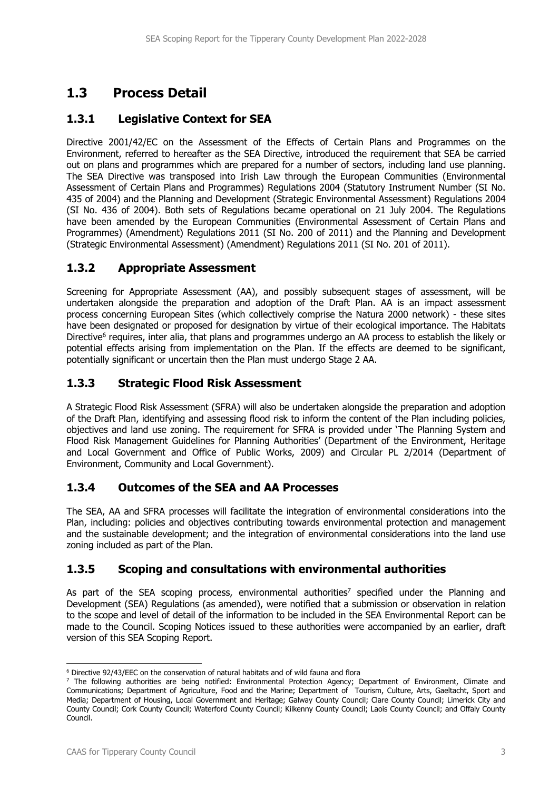## **1.3 Process Detail**

### **1.3.1 Legislative Context for SEA**

Directive 2001/42/EC on the Assessment of the Effects of Certain Plans and Programmes on the Environment, referred to hereafter as the SEA Directive, introduced the requirement that SEA be carried out on plans and programmes which are prepared for a number of sectors, including land use planning. The SEA Directive was transposed into Irish Law through the European Communities (Environmental Assessment of Certain Plans and Programmes) Regulations 2004 (Statutory Instrument Number (SI No. 435 of 2004) and the Planning and Development (Strategic Environmental Assessment) Regulations 2004 (SI No. 436 of 2004). Both sets of Regulations became operational on 21 July 2004. The Regulations have been amended by the European Communities (Environmental Assessment of Certain Plans and Programmes) (Amendment) Regulations 2011 (SI No. 200 of 2011) and the Planning and Development (Strategic Environmental Assessment) (Amendment) Regulations 2011 (SI No. 201 of 2011).

### **1.3.2 Appropriate Assessment**

Screening for Appropriate Assessment (AA), and possibly subsequent stages of assessment, will be undertaken alongside the preparation and adoption of the Draft Plan. AA is an impact assessment process concerning European Sites (which collectively comprise the Natura 2000 network) - these sites have been designated or proposed for designation by virtue of their ecological importance. The Habitats Directive<sup>6</sup> requires, inter alia, that plans and programmes undergo an AA process to establish the likely or potential effects arising from implementation on the Plan. If the effects are deemed to be significant, potentially significant or uncertain then the Plan must undergo Stage 2 AA.

### **1.3.3 Strategic Flood Risk Assessment**

A Strategic Flood Risk Assessment (SFRA) will also be undertaken alongside the preparation and adoption of the Draft Plan, identifying and assessing flood risk to inform the content of the Plan including policies, objectives and land use zoning. The requirement for SFRA is provided under 'The Planning System and Flood Risk Management Guidelines for Planning Authorities' (Department of the Environment, Heritage and Local Government and Office of Public Works, 2009) and Circular PL 2/2014 (Department of Environment, Community and Local Government).

### **1.3.4 Outcomes of the SEA and AA Processes**

The SEA, AA and SFRA processes will facilitate the integration of environmental considerations into the Plan, including: policies and objectives contributing towards environmental protection and management and the sustainable development; and the integration of environmental considerations into the land use zoning included as part of the Plan.

### **1.3.5 Scoping and consultations with environmental authorities**

As part of the SEA scoping process, environmental authorities<sup>7</sup> specified under the Planning and Development (SEA) Regulations (as amended), were notified that a submission or observation in relation to the scope and level of detail of the information to be included in the SEA Environmental Report can be made to the Council. Scoping Notices issued to these authorities were accompanied by an earlier, draft version of this SEA Scoping Report.

<sup>6</sup> Directive 92/43/EEC on the conservation of natural habitats and of wild fauna and flora

<sup>&</sup>lt;sup>7</sup> The following authorities are being notified: Environmental Protection Agency; Department of Environment, Climate and Communications; Department of Agriculture, Food and the Marine; Department of Tourism, Culture, Arts, Gaeltacht, Sport and Media; Department of Housing, Local Government and Heritage; Galway County Council; Clare County Council; Limerick City and County Council; Cork County Council; Waterford County Council; Kilkenny County Council; Laois County Council; and Offaly County Council.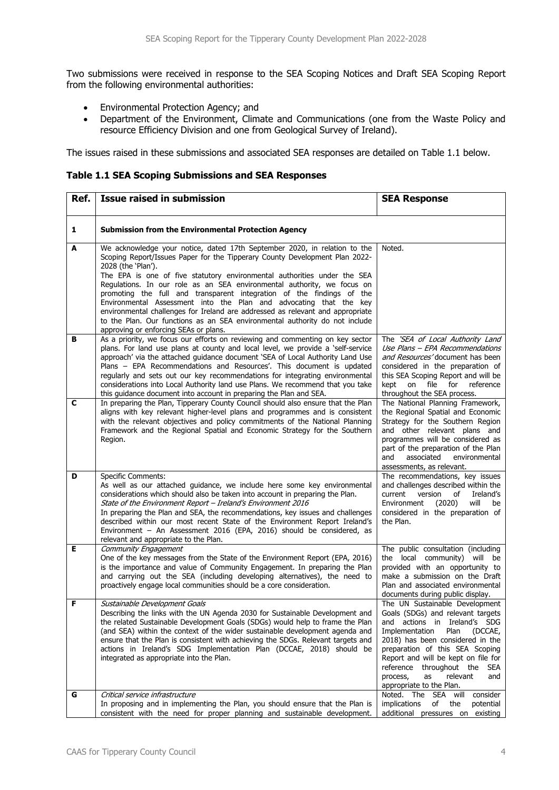Two submissions were received in response to the SEA Scoping Notices and Draft SEA Scoping Report from the following environmental authorities:

- Environmental Protection Agency; and
- Department of the Environment, Climate and Communications (one from the Waste Policy and resource Efficiency Division and one from Geological Survey of Ireland).

The issues raised in these submissions and associated SEA responses are detailed on Table 1.1 below.

**Table 1.1 SEA Scoping Submissions and SEA Responses** 

| Ref. | <b>Issue raised in submission</b>                                                                                                                                                                                                                                                                                                                                                                                                                                                                                                                                                                                                                                                              | <b>SEA Response</b>                                                                                                                                                                                                                                                                                                                                               |
|------|------------------------------------------------------------------------------------------------------------------------------------------------------------------------------------------------------------------------------------------------------------------------------------------------------------------------------------------------------------------------------------------------------------------------------------------------------------------------------------------------------------------------------------------------------------------------------------------------------------------------------------------------------------------------------------------------|-------------------------------------------------------------------------------------------------------------------------------------------------------------------------------------------------------------------------------------------------------------------------------------------------------------------------------------------------------------------|
| 1    | <b>Submission from the Environmental Protection Agency</b>                                                                                                                                                                                                                                                                                                                                                                                                                                                                                                                                                                                                                                     |                                                                                                                                                                                                                                                                                                                                                                   |
| A    | We acknowledge your notice, dated 17th September 2020, in relation to the<br>Scoping Report/Issues Paper for the Tipperary County Development Plan 2022-<br>2028 (the 'Plan').<br>The EPA is one of five statutory environmental authorities under the SEA<br>Regulations. In our role as an SEA environmental authority, we focus on<br>promoting the full and transparent integration of the findings of the<br>Environmental Assessment into the Plan and advocating that the key<br>environmental challenges for Ireland are addressed as relevant and appropriate<br>to the Plan. Our functions as an SEA environmental authority do not include<br>approving or enforcing SEAs or plans. | Noted.                                                                                                                                                                                                                                                                                                                                                            |
| в    | As a priority, we focus our efforts on reviewing and commenting on key sector<br>plans. For land use plans at county and local level, we provide a 'self-service<br>approach' via the attached guidance document 'SEA of Local Authority Land Use<br>Plans - EPA Recommendations and Resources'. This document is updated<br>regularly and sets out our key recommendations for integrating environmental<br>considerations into Local Authority land use Plans. We recommend that you take<br>this guidance document into account in preparing the Plan and SEA.                                                                                                                              | The 'SEA of Local Authority Land<br>Use Plans - EPA Recommendations<br>and Resources' document has been<br>considered in the preparation of<br>this SEA Scoping Report and will be<br>file for<br>kept<br>on<br>reference<br>throughout the SEA process.                                                                                                          |
| C    | In preparing the Plan, Tipperary County Council should also ensure that the Plan<br>aligns with key relevant higher-level plans and programmes and is consistent<br>with the relevant objectives and policy commitments of the National Planning<br>Framework and the Regional Spatial and Economic Strategy for the Southern<br>Region.                                                                                                                                                                                                                                                                                                                                                       | The National Planning Framework,<br>the Regional Spatial and Economic<br>Strategy for the Southern Region<br>and other relevant plans and<br>programmes will be considered as<br>part of the preparation of the Plan<br>associated<br>and<br>environmental<br>assessments, as relevant.                                                                           |
| D    | <b>Specific Comments:</b><br>As well as our attached guidance, we include here some key environmental<br>considerations which should also be taken into account in preparing the Plan.<br>State of the Environment Report - Ireland's Environment 2016<br>In preparing the Plan and SEA, the recommendations, key issues and challenges<br>described within our most recent State of the Environment Report Ireland's<br>Environment - An Assessment 2016 (EPA, 2016) should be considered, as<br>relevant and appropriate to the Plan.                                                                                                                                                        | The recommendations, key issues<br>and challenges described within the<br>version<br>of<br>Ireland's<br>current<br>(2020)<br>will<br>Environment<br>be<br>considered in the preparation of<br>the Plan.                                                                                                                                                           |
| Е    | Community Engagement<br>One of the key messages from the State of the Environment Report (EPA, 2016)<br>is the importance and value of Community Engagement. In preparing the Plan<br>and carrying out the SEA (including developing alternatives), the need to<br>proactively engage local communities should be a core consideration.                                                                                                                                                                                                                                                                                                                                                        | The public consultation (including<br>the local community) will be<br>provided with an opportunity to<br>make a submission on the Draft<br>Plan and associated environmental<br>documents during public display.                                                                                                                                                  |
| F    | Sustainable Development Goals<br>Describing the links with the UN Agenda 2030 for Sustainable Development and<br>the related Sustainable Development Goals (SDGs) would help to frame the Plan<br>(and SEA) within the context of the wider sustainable development agenda and<br>ensure that the Plan is consistent with achieving the SDGs. Relevant targets and<br>actions in Ireland's SDG Implementation Plan (DCCAE, 2018) should be<br>integrated as appropriate into the Plan.                                                                                                                                                                                                         | The UN Sustainable Development<br>Goals (SDGs) and relevant targets<br>and actions in Ireland's SDG<br>Implementation<br>Plan<br>(DCCAE,<br>2018) has been considered in the<br>preparation of this SEA Scoping<br>Report and will be kept on file for<br>reference throughout the<br><b>SEA</b><br>process,<br>relevant<br>as<br>and<br>appropriate to the Plan. |
| G    | Critical service infrastructure<br>In proposing and in implementing the Plan, you should ensure that the Plan is<br>consistent with the need for proper planning and sustainable development.                                                                                                                                                                                                                                                                                                                                                                                                                                                                                                  | consider<br>Noted. The SEA will<br><i>implications</i><br>of<br>the<br>potential<br>additional pressures on existing                                                                                                                                                                                                                                              |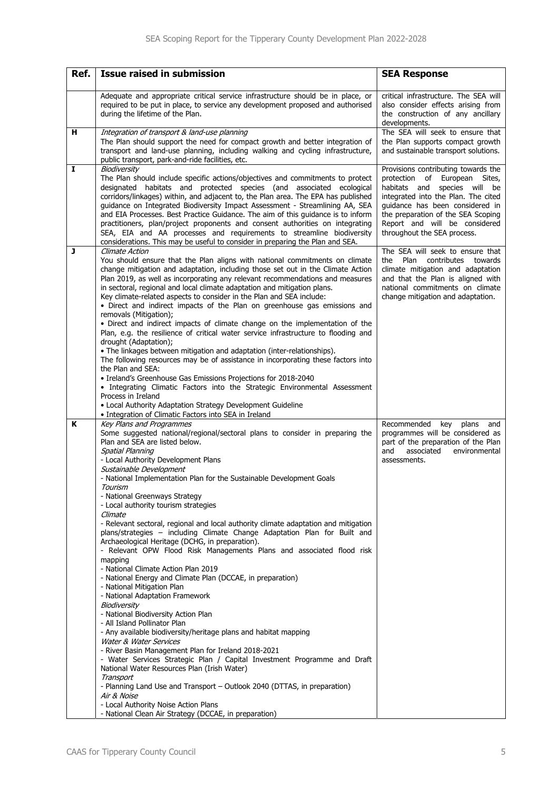| Ref.         | <b>Issue raised in submission</b>                                                                                                                                                                                                                                                                                                                                                                                                                                                                                                                                                                                                                                                                                                                                                                                                                                                                                                                                                                                                                                                                                                                                                                                                                                                                                                                                                                                                                                              | <b>SEA Response</b>                                                                                                                                                                                                                                                                        |
|--------------|--------------------------------------------------------------------------------------------------------------------------------------------------------------------------------------------------------------------------------------------------------------------------------------------------------------------------------------------------------------------------------------------------------------------------------------------------------------------------------------------------------------------------------------------------------------------------------------------------------------------------------------------------------------------------------------------------------------------------------------------------------------------------------------------------------------------------------------------------------------------------------------------------------------------------------------------------------------------------------------------------------------------------------------------------------------------------------------------------------------------------------------------------------------------------------------------------------------------------------------------------------------------------------------------------------------------------------------------------------------------------------------------------------------------------------------------------------------------------------|--------------------------------------------------------------------------------------------------------------------------------------------------------------------------------------------------------------------------------------------------------------------------------------------|
|              |                                                                                                                                                                                                                                                                                                                                                                                                                                                                                                                                                                                                                                                                                                                                                                                                                                                                                                                                                                                                                                                                                                                                                                                                                                                                                                                                                                                                                                                                                |                                                                                                                                                                                                                                                                                            |
|              | Adequate and appropriate critical service infrastructure should be in place, or<br>required to be put in place, to service any development proposed and authorised<br>during the lifetime of the Plan.                                                                                                                                                                                                                                                                                                                                                                                                                                                                                                                                                                                                                                                                                                                                                                                                                                                                                                                                                                                                                                                                                                                                                                                                                                                                         | critical infrastructure. The SEA will<br>also consider effects arising from<br>the construction of any ancillary<br>developments.                                                                                                                                                          |
| н            | Integration of transport & land-use planning<br>The Plan should support the need for compact growth and better integration of<br>transport and land-use planning, including walking and cycling infrastructure,<br>public transport, park-and-ride facilities, etc.                                                                                                                                                                                                                                                                                                                                                                                                                                                                                                                                                                                                                                                                                                                                                                                                                                                                                                                                                                                                                                                                                                                                                                                                            | The SEA will seek to ensure that<br>the Plan supports compact growth<br>and sustainable transport solutions.                                                                                                                                                                               |
| $\mathbf{I}$ | Biodiversity<br>The Plan should include specific actions/objectives and commitments to protect<br>designated habitats and protected species (and associated ecological<br>corridors/linkages) within, and adjacent to, the Plan area. The EPA has published<br>guidance on Integrated Biodiversity Impact Assessment - Streamlining AA, SEA<br>and EIA Processes. Best Practice Guidance. The aim of this guidance is to inform<br>practitioners, plan/project proponents and consent authorities on integrating<br>SEA, EIA and AA processes and requirements to streamline biodiversity<br>considerations. This may be useful to consider in preparing the Plan and SEA.                                                                                                                                                                                                                                                                                                                                                                                                                                                                                                                                                                                                                                                                                                                                                                                                     | Provisions contributing towards the<br>protection of<br>European Sites,<br>habitats and<br>species will be<br>integrated into the Plan. The cited<br>guidance has been considered in<br>the preparation of the SEA Scoping<br>Report and will be considered<br>throughout the SEA process. |
| J            | Climate Action<br>You should ensure that the Plan aligns with national commitments on climate<br>change mitigation and adaptation, including those set out in the Climate Action<br>Plan 2019, as well as incorporating any relevant recommendations and measures<br>in sectoral, regional and local climate adaptation and mitigation plans.<br>Key climate-related aspects to consider in the Plan and SEA include:<br>• Direct and indirect impacts of the Plan on greenhouse gas emissions and<br>removals (Mitigation);<br>• Direct and indirect impacts of climate change on the implementation of the<br>Plan, e.g. the resilience of critical water service infrastructure to flooding and<br>drought (Adaptation);<br>• The linkages between mitigation and adaptation (inter-relationships).<br>The following resources may be of assistance in incorporating these factors into<br>the Plan and SEA:<br>• Ireland's Greenhouse Gas Emissions Projections for 2018-2040<br>• Integrating Climatic Factors into the Strategic Environmental Assessment<br>Process in Ireland<br>• Local Authority Adaptation Strategy Development Guideline<br>• Integration of Climatic Factors into SEA in Ireland                                                                                                                                                                                                                                                                  | The SEA will seek to ensure that<br>the Plan contributes towards<br>climate mitigation and adaptation<br>and that the Plan is aligned with<br>national commitments on climate<br>change mitigation and adaptation.                                                                         |
| K            | Key Plans and Programmes<br>Some suggested national/regional/sectoral plans to consider in preparing the<br>Plan and SEA are listed below.<br><b>Spatial Planning</b><br>- Local Authority Development Plans<br>Sustainable Development<br>- National Implementation Plan for the Sustainable Development Goals<br>Tourism<br>- National Greenways Strategy<br>- Local authority tourism strategies<br>Climate<br>- Relevant sectoral, regional and local authority climate adaptation and mitigation<br>plans/strategies - including Climate Change Adaptation Plan for Built and<br>Archaeological Heritage (DCHG, in preparation).<br>- Relevant OPW Flood Risk Managements Plans and associated flood risk<br>mapping<br>- National Climate Action Plan 2019<br>- National Energy and Climate Plan (DCCAE, in preparation)<br>- National Mitigation Plan<br>- National Adaptation Framework<br>Biodiversity<br>- National Biodiversity Action Plan<br>- All Island Pollinator Plan<br>- Any available biodiversity/heritage plans and habitat mapping<br>Water & Water Services<br>- River Basin Management Plan for Ireland 2018-2021<br>- Water Services Strategic Plan / Capital Investment Programme and Draft<br>National Water Resources Plan (Irish Water)<br>Transport<br>- Planning Land Use and Transport – Outlook 2040 (DTTAS, in preparation)<br>Air & Noise<br>- Local Authority Noise Action Plans<br>- National Clean Air Strategy (DCCAE, in preparation) | Recommended<br>key<br>plans<br>and<br>programmes will be considered as<br>part of the preparation of the Plan<br>associated<br>environmental<br>and<br>assessments.                                                                                                                        |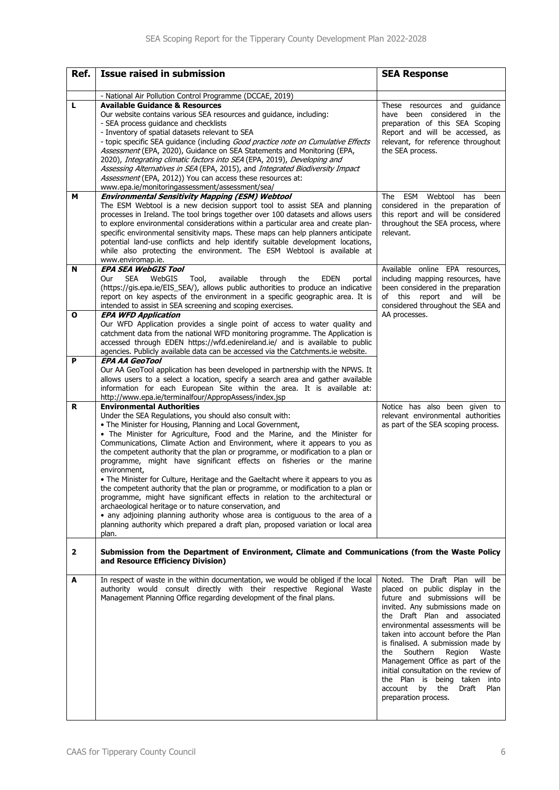| Ref.                    | <b>Issue raised in submission</b>                                                                                                                                                                                                                                                                                                                                                                                                                                                                                                                                                                                                                                                                                                                                                                                                                                                                                                                                                                  | <b>SEA Response</b>                                                                                                                                                                                                                                                                                                                                                                                                                                                                                          |
|-------------------------|----------------------------------------------------------------------------------------------------------------------------------------------------------------------------------------------------------------------------------------------------------------------------------------------------------------------------------------------------------------------------------------------------------------------------------------------------------------------------------------------------------------------------------------------------------------------------------------------------------------------------------------------------------------------------------------------------------------------------------------------------------------------------------------------------------------------------------------------------------------------------------------------------------------------------------------------------------------------------------------------------|--------------------------------------------------------------------------------------------------------------------------------------------------------------------------------------------------------------------------------------------------------------------------------------------------------------------------------------------------------------------------------------------------------------------------------------------------------------------------------------------------------------|
|                         | - National Air Pollution Control Programme (DCCAE, 2019)                                                                                                                                                                                                                                                                                                                                                                                                                                                                                                                                                                                                                                                                                                                                                                                                                                                                                                                                           |                                                                                                                                                                                                                                                                                                                                                                                                                                                                                                              |
| L                       | <b>Available Guidance &amp; Resources</b><br>Our website contains various SEA resources and guidance, including:<br>- SEA process guidance and checklists<br>- Inventory of spatial datasets relevant to SEA<br>- topic specific SEA guidance (including Good practice note on Cumulative Effects<br>Assessment (EPA, 2020), Guidance on SEA Statements and Monitoring (EPA,<br>2020), Integrating climatic factors into SEA (EPA, 2019), Developing and<br>Assessing Alternatives in SEA (EPA, 2015), and Integrated Biodiversity Impact<br>Assessment (EPA, 2012)) You can access these resources at:<br>www.epa.ie/monitoringassessment/assessment/sea/                                                                                                                                                                                                                                                                                                                                         | These resources and guidance<br>have been considered in the<br>preparation of this SEA Scoping<br>Report and will be accessed, as<br>relevant, for reference throughout<br>the SEA process.                                                                                                                                                                                                                                                                                                                  |
| м                       | <b>Environmental Sensitivity Mapping (ESM) Webtool</b>                                                                                                                                                                                                                                                                                                                                                                                                                                                                                                                                                                                                                                                                                                                                                                                                                                                                                                                                             | The ESM Webtool<br>has<br>been                                                                                                                                                                                                                                                                                                                                                                                                                                                                               |
|                         | The ESM Webtool is a new decision support tool to assist SEA and planning<br>processes in Ireland. The tool brings together over 100 datasets and allows users<br>to explore environmental considerations within a particular area and create plan-<br>specific environmental sensitivity maps. These maps can help planners anticipate<br>potential land-use conflicts and help identify suitable development locations,<br>while also protecting the environment. The ESM Webtool is available at<br>www.enviromap.ie.                                                                                                                                                                                                                                                                                                                                                                                                                                                                           | considered in the preparation of<br>this report and will be considered<br>throughout the SEA process, where<br>relevant.                                                                                                                                                                                                                                                                                                                                                                                     |
| N                       | <b>EPA SEA WebGIS Tool</b><br><b>SEA</b><br>WebGIS<br>Our<br>Tool,<br>available<br>through<br><b>EDEN</b><br>the<br>portal<br>(https://gis.epa.ie/EIS_SEA/), allows public authorities to produce an indicative<br>report on key aspects of the environment in a specific geographic area. It is<br>intended to assist in SEA screening and scoping exercises.                                                                                                                                                                                                                                                                                                                                                                                                                                                                                                                                                                                                                                     | Available online EPA resources,<br>including mapping resources, have<br>been considered in the preparation<br>of this report and will<br>be<br>considered throughout the SEA and                                                                                                                                                                                                                                                                                                                             |
| O                       | <b>EPA WFD Application</b><br>Our WFD Application provides a single point of access to water quality and<br>catchment data from the national WFD monitoring programme. The Application is<br>accessed through EDEN https://wfd.edenireland.ie/ and is available to public<br>agencies. Publicly available data can be accessed via the Catchments ie website.                                                                                                                                                                                                                                                                                                                                                                                                                                                                                                                                                                                                                                      | AA processes.                                                                                                                                                                                                                                                                                                                                                                                                                                                                                                |
| P                       | <b>EPA AA GeoTool</b><br>Our AA GeoTool application has been developed in partnership with the NPWS. It<br>allows users to a select a location, specify a search area and gather available<br>information for each European Site within the area. It is available at:<br>http://www.epa.ie/terminalfour/AppropAssess/index.jsp                                                                                                                                                                                                                                                                                                                                                                                                                                                                                                                                                                                                                                                                     |                                                                                                                                                                                                                                                                                                                                                                                                                                                                                                              |
| R                       | <b>Environmental Authorities</b><br>Under the SEA Regulations, you should also consult with:<br>• The Minister for Housing, Planning and Local Government,<br>. The Minister for Agriculture, Food and the Marine, and the Minister for<br>Communications, Climate Action and Environment, where it appears to you as<br>the competent authority that the plan or programme, or modification to a plan or<br>programme, might have significant effects on fisheries or the marine<br>environment,<br>• The Minister for Culture, Heritage and the Gaeltacht where it appears to you as<br>the competent authority that the plan or programme, or modification to a plan or<br>programme, might have significant effects in relation to the architectural or<br>archaeological heritage or to nature conservation, and<br>• any adjoining planning authority whose area is contiguous to the area of a<br>planning authority which prepared a draft plan, proposed variation or local area<br>plan. | Notice has also been given to<br>relevant environmental authorities<br>as part of the SEA scoping process.                                                                                                                                                                                                                                                                                                                                                                                                   |
| $\overline{\mathbf{2}}$ | Submission from the Department of Environment, Climate and Communications (from the Waste Policy<br>and Resource Efficiency Division)                                                                                                                                                                                                                                                                                                                                                                                                                                                                                                                                                                                                                                                                                                                                                                                                                                                              |                                                                                                                                                                                                                                                                                                                                                                                                                                                                                                              |
| A                       | In respect of waste in the within documentation, we would be obliged if the local<br>authority would consult directly with their respective Regional Waste<br>Management Planning Office regarding development of the final plans.                                                                                                                                                                                                                                                                                                                                                                                                                                                                                                                                                                                                                                                                                                                                                                 | Noted. The Draft Plan will be<br>placed on public display in the<br>future and submissions will be<br>invited. Any submissions made on<br>the Draft Plan and associated<br>environmental assessments will be<br>taken into account before the Plan<br>is finalised. A submission made by<br>Southern<br>Region<br>the<br>Waste<br>Management Office as part of the<br>initial consultation on the review of<br>the Plan is being taken into<br>account<br>by<br>the<br>Draft<br>Plan<br>preparation process. |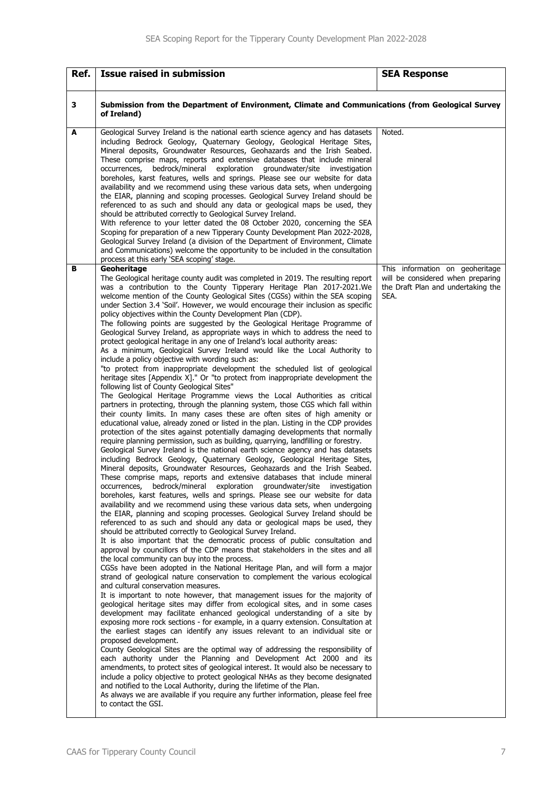| Ref. | <b>Issue raised in submission</b>                                                                                                                                                                                                                                                                                                                                                                                                                                                                                                                                                                                                                                                                                                                                                                                                                                                                                                                                                                                                                                                                                                                                                                                                                                                                                                                                                                                                                                                                                                                                                                                                                                                                                                                                                                                                                                                                                                                                                                                                                                                                                                                                                                                                                                                                                                                                                                                                                                                                                                                                                                                                                                                                                                                                                                                                                                                                                                                                                                                                                                                                                                                                                                                                                                                                                                                                                                                                                                                                                                                                                                                                                                                                                                | <b>SEA Response</b>                                                                                                |
|------|----------------------------------------------------------------------------------------------------------------------------------------------------------------------------------------------------------------------------------------------------------------------------------------------------------------------------------------------------------------------------------------------------------------------------------------------------------------------------------------------------------------------------------------------------------------------------------------------------------------------------------------------------------------------------------------------------------------------------------------------------------------------------------------------------------------------------------------------------------------------------------------------------------------------------------------------------------------------------------------------------------------------------------------------------------------------------------------------------------------------------------------------------------------------------------------------------------------------------------------------------------------------------------------------------------------------------------------------------------------------------------------------------------------------------------------------------------------------------------------------------------------------------------------------------------------------------------------------------------------------------------------------------------------------------------------------------------------------------------------------------------------------------------------------------------------------------------------------------------------------------------------------------------------------------------------------------------------------------------------------------------------------------------------------------------------------------------------------------------------------------------------------------------------------------------------------------------------------------------------------------------------------------------------------------------------------------------------------------------------------------------------------------------------------------------------------------------------------------------------------------------------------------------------------------------------------------------------------------------------------------------------------------------------------------------------------------------------------------------------------------------------------------------------------------------------------------------------------------------------------------------------------------------------------------------------------------------------------------------------------------------------------------------------------------------------------------------------------------------------------------------------------------------------------------------------------------------------------------------------------------------------------------------------------------------------------------------------------------------------------------------------------------------------------------------------------------------------------------------------------------------------------------------------------------------------------------------------------------------------------------------------------------------------------------------------------------------------------------------|--------------------------------------------------------------------------------------------------------------------|
| 3    | Submission from the Department of Environment, Climate and Communications (from Geological Survey<br>of Ireland)                                                                                                                                                                                                                                                                                                                                                                                                                                                                                                                                                                                                                                                                                                                                                                                                                                                                                                                                                                                                                                                                                                                                                                                                                                                                                                                                                                                                                                                                                                                                                                                                                                                                                                                                                                                                                                                                                                                                                                                                                                                                                                                                                                                                                                                                                                                                                                                                                                                                                                                                                                                                                                                                                                                                                                                                                                                                                                                                                                                                                                                                                                                                                                                                                                                                                                                                                                                                                                                                                                                                                                                                                 |                                                                                                                    |
| A    | Geological Survey Ireland is the national earth science agency and has datasets<br>including Bedrock Geology, Quaternary Geology, Geological Heritage Sites,<br>Mineral deposits, Groundwater Resources, Geohazards and the Irish Seabed.<br>These comprise maps, reports and extensive databases that include mineral<br>bedrock/mineral exploration groundwater/site investigation<br>occurrences,<br>boreholes, karst features, wells and springs. Please see our website for data<br>availability and we recommend using these various data sets, when undergoing<br>the EIAR, planning and scoping processes. Geological Survey Ireland should be<br>referenced to as such and should any data or geological maps be used, they<br>should be attributed correctly to Geological Survey Ireland.<br>With reference to your letter dated the 08 October 2020, concerning the SEA<br>Scoping for preparation of a new Tipperary County Development Plan 2022-2028,<br>Geological Survey Ireland (a division of the Department of Environment, Climate<br>and Communications) welcome the opportunity to be included in the consultation<br>process at this early 'SEA scoping' stage.                                                                                                                                                                                                                                                                                                                                                                                                                                                                                                                                                                                                                                                                                                                                                                                                                                                                                                                                                                                                                                                                                                                                                                                                                                                                                                                                                                                                                                                                                                                                                                                                                                                                                                                                                                                                                                                                                                                                                                                                                                                                                                                                                                                                                                                                                                                                                                                                                                                                                                                                          | Noted.                                                                                                             |
| в    | Geoheritage<br>The Geological heritage county audit was completed in 2019. The resulting report<br>was a contribution to the County Tipperary Heritage Plan 2017-2021. We<br>welcome mention of the County Geological Sites (CGSs) within the SEA scoping<br>under Section 3.4 'Soil'. However, we would encourage their inclusion as specific<br>policy objectives within the County Development Plan (CDP).<br>The following points are suggested by the Geological Heritage Programme of<br>Geological Survey Ireland, as appropriate ways in which to address the need to<br>protect geological heritage in any one of Ireland's local authority areas:<br>As a minimum, Geological Survey Ireland would like the Local Authority to<br>include a policy objective with wording such as:<br>"to protect from inappropriate development the scheduled list of geological<br>heritage sites [Appendix X]." Or "to protect from inappropriate development the<br>following list of County Geological Sites"<br>The Geological Heritage Programme views the Local Authorities as critical<br>partners in protecting, through the planning system, those CGS which fall within<br>their county limits. In many cases these are often sites of high amenity or<br>educational value, already zoned or listed in the plan. Listing in the CDP provides<br>protection of the sites against potentially damaging developments that normally<br>require planning permission, such as building, quarrying, landfilling or forestry.<br>Geological Survey Ireland is the national earth science agency and has datasets<br>including Bedrock Geology, Quaternary Geology, Geological Heritage Sites,<br>Mineral deposits, Groundwater Resources, Geohazards and the Irish Seabed.<br>These comprise maps, reports and extensive databases that include mineral<br>occurrences, bedrock/mineral exploration groundwater/site investigation<br>boreholes, karst features, wells and springs. Please see our website for data<br>availability and we recommend using these various data sets, when undergoing<br>the EIAR, planning and scoping processes. Geological Survey Ireland should be<br>referenced to as such and should any data or geological maps be used, they<br>should be attributed correctly to Geological Survey Ireland.<br>It is also important that the democratic process of public consultation and<br>approval by councillors of the CDP means that stakeholders in the sites and all<br>the local community can buy into the process.<br>CGSs have been adopted in the National Heritage Plan, and will form a major<br>strand of geological nature conservation to complement the various ecological<br>and cultural conservation measures.<br>It is important to note however, that management issues for the majority of<br>geological heritage sites may differ from ecological sites, and in some cases<br>development may facilitate enhanced geological understanding of a site by<br>exposing more rock sections - for example, in a quarry extension. Consultation at<br>the earliest stages can identify any issues relevant to an individual site or<br>proposed development.<br>County Geological Sites are the optimal way of addressing the responsibility of<br>each authority under the Planning and Development Act 2000 and its<br>amendments, to protect sites of geological interest. It would also be necessary to<br>include a policy objective to protect geological NHAs as they become designated<br>and notified to the Local Authority, during the lifetime of the Plan.<br>As always we are available if you require any further information, please feel free<br>to contact the GSI. | This information on geoheritage<br>will be considered when preparing<br>the Draft Plan and undertaking the<br>SEA. |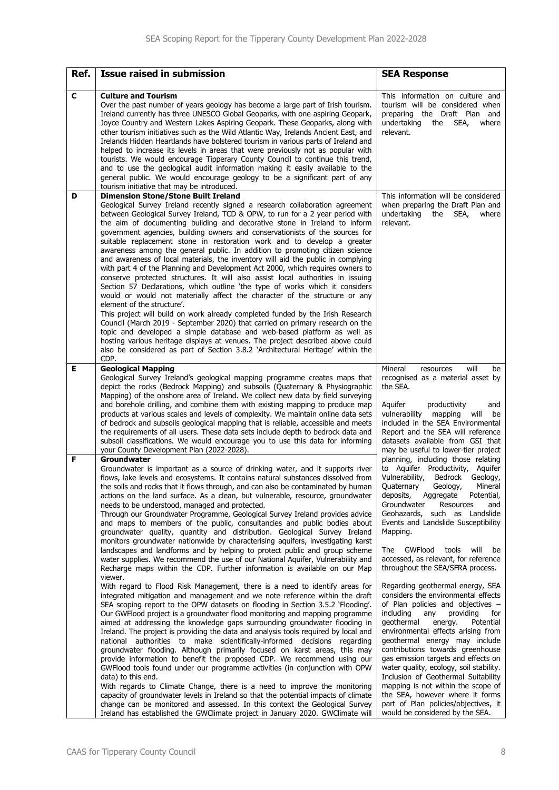| Ref. | <b>Issue raised in submission</b>                                                                                                                                                                                                                                                                                                                                                                                                                                                                                                                                                                                                                                                                                                                                                                                                                                                                                                                                                                                                                                                                                                                                                                                                                                                                                                                                     | <b>SEA Response</b>                                                                                                                                                                                                                                                                                                                                                                                                                                                                                                                                                                                                    |
|------|-----------------------------------------------------------------------------------------------------------------------------------------------------------------------------------------------------------------------------------------------------------------------------------------------------------------------------------------------------------------------------------------------------------------------------------------------------------------------------------------------------------------------------------------------------------------------------------------------------------------------------------------------------------------------------------------------------------------------------------------------------------------------------------------------------------------------------------------------------------------------------------------------------------------------------------------------------------------------------------------------------------------------------------------------------------------------------------------------------------------------------------------------------------------------------------------------------------------------------------------------------------------------------------------------------------------------------------------------------------------------|------------------------------------------------------------------------------------------------------------------------------------------------------------------------------------------------------------------------------------------------------------------------------------------------------------------------------------------------------------------------------------------------------------------------------------------------------------------------------------------------------------------------------------------------------------------------------------------------------------------------|
| C    | <b>Culture and Tourism</b><br>Over the past number of years geology has become a large part of Irish tourism.<br>Ireland currently has three UNESCO Global Geoparks, with one aspiring Geopark,<br>Joyce Country and Western Lakes Aspiring Geopark. These Geoparks, along with<br>other tourism initiatives such as the Wild Atlantic Way, Irelands Ancient East, and<br>Irelands Hidden Heartlands have bolstered tourism in various parts of Ireland and<br>helped to increase its levels in areas that were previously not as popular with<br>tourists. We would encourage Tipperary County Council to continue this trend,<br>and to use the geological audit information making it easily available to the<br>general public. We would encourage geology to be a significant part of any<br>tourism initiative that may be introduced.                                                                                                                                                                                                                                                                                                                                                                                                                                                                                                                          | This information on culture and<br>tourism will be considered when<br>preparing the Draft Plan and<br>undertaking<br>the<br>SEA,<br>where<br>relevant.                                                                                                                                                                                                                                                                                                                                                                                                                                                                 |
| D    | <b>Dimension Stone/Stone Built Ireland</b>                                                                                                                                                                                                                                                                                                                                                                                                                                                                                                                                                                                                                                                                                                                                                                                                                                                                                                                                                                                                                                                                                                                                                                                                                                                                                                                            | This information will be considered                                                                                                                                                                                                                                                                                                                                                                                                                                                                                                                                                                                    |
|      | Geological Survey Ireland recently signed a research collaboration agreement<br>between Geological Survey Ireland, TCD & OPW, to run for a 2 year period with<br>the aim of documenting building and decorative stone in Ireland to inform<br>government agencies, building owners and conservationists of the sources for<br>suitable replacement stone in restoration work and to develop a greater<br>awareness among the general public. In addition to promoting citizen science<br>and awareness of local materials, the inventory will aid the public in complying<br>with part 4 of the Planning and Development Act 2000, which requires owners to<br>conserve protected structures. It will also assist local authorities in issuing<br>Section 57 Declarations, which outline 'the type of works which it considers<br>would or would not materially affect the character of the structure or any<br>element of the structure'.<br>This project will build on work already completed funded by the Irish Research<br>Council (March 2019 - September 2020) that carried on primary research on the<br>topic and developed a simple database and web-based platform as well as<br>hosting various heritage displays at venues. The project described above could<br>also be considered as part of Section 3.8.2 'Architectural Heritage' within the<br>CDP. | when preparing the Draft Plan and<br>undertaking<br>the<br>SEA,<br>where<br>relevant.                                                                                                                                                                                                                                                                                                                                                                                                                                                                                                                                  |
| Е    | <b>Geological Mapping</b><br>Geological Survey Ireland's geological mapping programme creates maps that<br>depict the rocks (Bedrock Mapping) and subsoils (Quaternary & Physiographic                                                                                                                                                                                                                                                                                                                                                                                                                                                                                                                                                                                                                                                                                                                                                                                                                                                                                                                                                                                                                                                                                                                                                                                | will<br>Mineral<br>resources<br>be<br>recognised as a material asset by<br>the SEA.                                                                                                                                                                                                                                                                                                                                                                                                                                                                                                                                    |
|      | Mapping) of the onshore area of Ireland. We collect new data by field surveying<br>and borehole drilling, and combine them with existing mapping to produce map<br>products at various scales and levels of complexity. We maintain online data sets<br>of bedrock and subsoils geological mapping that is reliable, accessible and meets<br>the requirements of all users. These data sets include depth to bedrock data and<br>subsoil classifications. We would encourage you to use this data for informing<br>your County Development Plan (2022-2028).                                                                                                                                                                                                                                                                                                                                                                                                                                                                                                                                                                                                                                                                                                                                                                                                          | productivity<br>Aguifer<br>and<br>vulnerability<br>mapping<br>will<br>be<br>included in the SEA Environmental<br>Report and the SEA will reference<br>datasets available from GSI that<br>may be useful to lower-tier project                                                                                                                                                                                                                                                                                                                                                                                          |
| F    | <b>Groundwater</b><br>Groundwater is important as a source of drinking water, and it supports river<br>flows, lake levels and ecosystems. It contains natural substances dissolved from<br>the soils and rocks that it flows through, and can also be contaminated by human<br>actions on the land surface. As a clean, but vulnerable, resource, groundwater<br>needs to be understood, managed and protected.<br>Through our Groundwater Programme, Geological Survey Ireland provides advice<br>and maps to members of the public, consultancies and public bodies about<br>groundwater quality, quantity and distribution. Geological Survey Ireland<br>monitors groundwater nationwide by characterising aquifers, investigating karst<br>landscapes and landforms and by helping to protect public and group scheme<br>water supplies. We recommend the use of our National Aquifer, Vulnerability and                                                                                                                                                                                                                                                                                                                                                                                                                                                          | planning, including those relating<br>to Aquifer Productivity, Aquifer<br>Vulnerability,<br>Bedrock Geology,<br>Quaternary Geology, Mineral<br>deposits,<br>Aggregate<br>Potential,<br>Groundwater<br>Resources<br>and<br>Geohazards, such as Landslide<br>Events and Landslide Susceptibility<br>Mapping.<br>GWFlood<br>tools<br>The<br>will<br>be<br>accessed, as relevant, for reference                                                                                                                                                                                                                            |
|      | Recharge maps within the CDP. Further information is available on our Map<br>viewer.<br>With regard to Flood Risk Management, there is a need to identify areas for<br>integrated mitigation and management and we note reference within the draft<br>SEA scoping report to the OPW datasets on flooding in Section 3.5.2 'Flooding'.<br>Our GWFlood project is a groundwater flood monitoring and mapping programme<br>aimed at addressing the knowledge gaps surrounding groundwater flooding in<br>Ireland. The project is providing the data and analysis tools required by local and<br>national authorities to make scientifically-informed decisions regarding<br>groundwater flooding. Although primarily focused on karst areas, this may<br>provide information to benefit the proposed CDP. We recommend using our<br>GWFlood tools found under our programme activities (in conjunction with OPW<br>data) to this end.<br>With regards to Climate Change, there is a need to improve the monitoring<br>capacity of groundwater levels in Ireland so that the potential impacts of climate<br>change can be monitored and assessed. In this context the Geological Survey<br>Ireland has established the GWClimate project in January 2020. GWClimate will                                                                                                 | throughout the SEA/SFRA process.<br>Regarding geothermal energy, SEA<br>considers the environmental effects<br>of Plan policies and objectives -<br>including<br>any<br>providing<br>for<br>geothermal<br>energy.<br>Potential<br>environmental effects arising from<br>geothermal energy may include<br>contributions towards greenhouse<br>gas emission targets and effects on<br>water quality, ecology, soil stability.<br>Inclusion of Geothermal Suitability<br>mapping is not within the scope of<br>the SEA, however where it forms<br>part of Plan policies/objectives, it<br>would be considered by the SEA. |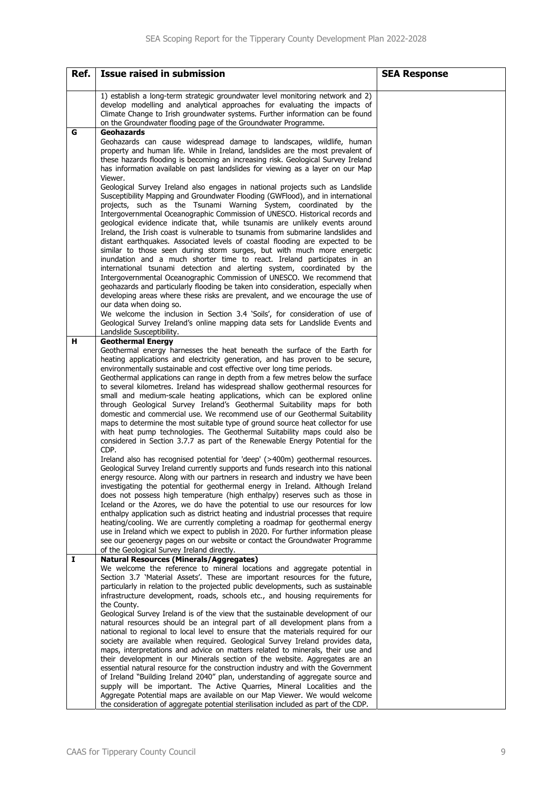| Ref. | <b>Issue raised in submission</b>                                                                                                                                                                                                                                                                                                                                                                                                                                                                                                                                                                                                                                                                                                                                                                                                                                                                                                                                                                                                                                                                                                                                                                                                                                                                                                                                                                                                                                                                                                                                                                                                                                                                                                                                                                                                           | <b>SEA Response</b> |
|------|---------------------------------------------------------------------------------------------------------------------------------------------------------------------------------------------------------------------------------------------------------------------------------------------------------------------------------------------------------------------------------------------------------------------------------------------------------------------------------------------------------------------------------------------------------------------------------------------------------------------------------------------------------------------------------------------------------------------------------------------------------------------------------------------------------------------------------------------------------------------------------------------------------------------------------------------------------------------------------------------------------------------------------------------------------------------------------------------------------------------------------------------------------------------------------------------------------------------------------------------------------------------------------------------------------------------------------------------------------------------------------------------------------------------------------------------------------------------------------------------------------------------------------------------------------------------------------------------------------------------------------------------------------------------------------------------------------------------------------------------------------------------------------------------------------------------------------------------|---------------------|
|      | 1) establish a long-term strategic groundwater level monitoring network and 2)<br>develop modelling and analytical approaches for evaluating the impacts of<br>Climate Change to Irish groundwater systems. Further information can be found<br>on the Groundwater flooding page of the Groundwater Programme.                                                                                                                                                                                                                                                                                                                                                                                                                                                                                                                                                                                                                                                                                                                                                                                                                                                                                                                                                                                                                                                                                                                                                                                                                                                                                                                                                                                                                                                                                                                              |                     |
| G    | <b>Geohazards</b><br>Geohazards can cause widespread damage to landscapes, wildlife, human<br>property and human life. While in Ireland, landslides are the most prevalent of<br>these hazards flooding is becoming an increasing risk. Geological Survey Ireland<br>has information available on past landslides for viewing as a layer on our Map<br>Viewer.<br>Geological Survey Ireland also engages in national projects such as Landslide<br>Susceptibility Mapping and Groundwater Flooding (GWFlood), and in international<br>projects, such as the Tsunami Warning System, coordinated by the<br>Intergovernmental Oceanographic Commission of UNESCO. Historical records and<br>geological evidence indicate that, while tsunamis are unlikely events around<br>Ireland, the Irish coast is vulnerable to tsunamis from submarine landslides and<br>distant earthquakes. Associated levels of coastal flooding are expected to be<br>similar to those seen during storm surges, but with much more energetic<br>inundation and a much shorter time to react. Ireland participates in an<br>international tsunami detection and alerting system, coordinated by the<br>Intergovernmental Oceanographic Commission of UNESCO. We recommend that<br>geohazards and particularly flooding be taken into consideration, especially when<br>developing areas where these risks are prevalent, and we encourage the use of<br>our data when doing so.<br>We welcome the inclusion in Section 3.4 'Soils', for consideration of use of<br>Geological Survey Ireland's online mapping data sets for Landslide Events and<br>Landslide Susceptibility.                                                                                                                                                                                      |                     |
| н    | <b>Geothermal Energy</b><br>Geothermal energy harnesses the heat beneath the surface of the Earth for<br>heating applications and electricity generation, and has proven to be secure,<br>environmentally sustainable and cost effective over long time periods.<br>Geothermal applications can range in depth from a few metres below the surface<br>to several kilometres. Ireland has widespread shallow geothermal resources for<br>small and medium-scale heating applications, which can be explored online<br>through Geological Survey Ireland's Geothermal Suitability maps for both<br>domestic and commercial use. We recommend use of our Geothermal Suitability<br>maps to determine the most suitable type of ground source heat collector for use<br>with heat pump technologies. The Geothermal Suitability maps could also be<br>considered in Section 3.7.7 as part of the Renewable Energy Potential for the<br>CDP.<br>Ireland also has recognised potential for 'deep' (>400m) geothermal resources.<br>Geological Survey Ireland currently supports and funds research into this national<br>energy resource. Along with our partners in research and industry we have been<br>investigating the potential for geothermal energy in Ireland. Although Ireland<br>does not possess high temperature (high enthalpy) reserves such as those in<br>Iceland or the Azores, we do have the potential to use our resources for low<br>enthalpy application such as district heating and industrial processes that require<br>heating/cooling. We are currently completing a roadmap for geothermal energy<br>use in Ireland which we expect to publish in 2020. For further information please<br>see our geoenergy pages on our website or contact the Groundwater Programme<br>of the Geological Survey Ireland directly. |                     |
| I    | <b>Natural Resources (Minerals/Aggregates)</b><br>We welcome the reference to mineral locations and aggregate potential in<br>Section 3.7 'Material Assets'. These are important resources for the future,<br>particularly in relation to the projected public developments, such as sustainable<br>infrastructure development, roads, schools etc., and housing requirements for<br>the County.<br>Geological Survey Ireland is of the view that the sustainable development of our<br>natural resources should be an integral part of all development plans from a<br>national to regional to local level to ensure that the materials required for our<br>society are available when required. Geological Survey Ireland provides data,<br>maps, interpretations and advice on matters related to minerals, their use and<br>their development in our Minerals section of the website. Aggregates are an<br>essential natural resource for the construction industry and with the Government<br>of Ireland "Building Ireland 2040" plan, understanding of aggregate source and<br>supply will be important. The Active Quarries, Mineral Localities and the<br>Aggregate Potential maps are available on our Map Viewer. We would welcome<br>the consideration of aggregate potential sterilisation included as part of the CDP.                                                                                                                                                                                                                                                                                                                                                                                                                                                                                                         |                     |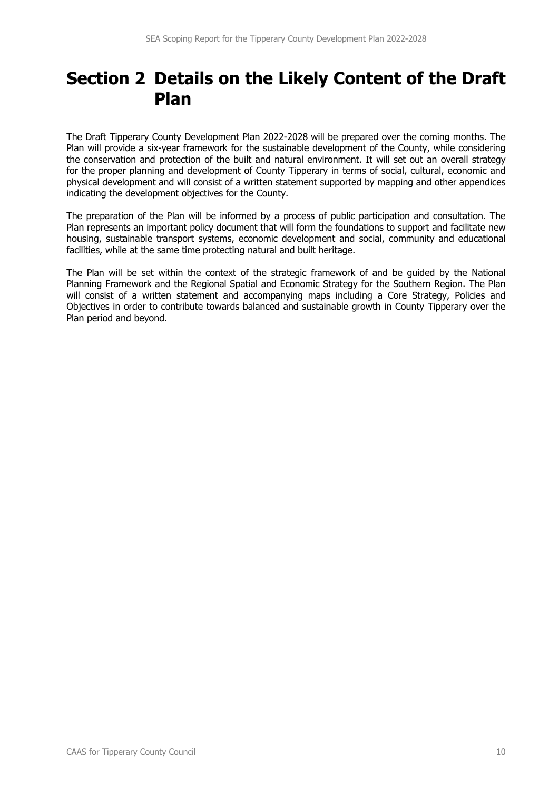# **Section 2 Details on the Likely Content of the Draft Plan**

The Draft Tipperary County Development Plan 2022-2028 will be prepared over the coming months. The Plan will provide a six-year framework for the sustainable development of the County, while considering the conservation and protection of the built and natural environment. It will set out an overall strategy for the proper planning and development of County Tipperary in terms of social, cultural, economic and physical development and will consist of a written statement supported by mapping and other appendices indicating the development objectives for the County.

The preparation of the Plan will be informed by a process of public participation and consultation. The Plan represents an important policy document that will form the foundations to support and facilitate new housing, sustainable transport systems, economic development and social, community and educational facilities, while at the same time protecting natural and built heritage.

The Plan will be set within the context of the strategic framework of and be guided by the National Planning Framework and the Regional Spatial and Economic Strategy for the Southern Region. The Plan will consist of a written statement and accompanying maps including a Core Strategy, Policies and Objectives in order to contribute towards balanced and sustainable growth in County Tipperary over the Plan period and beyond.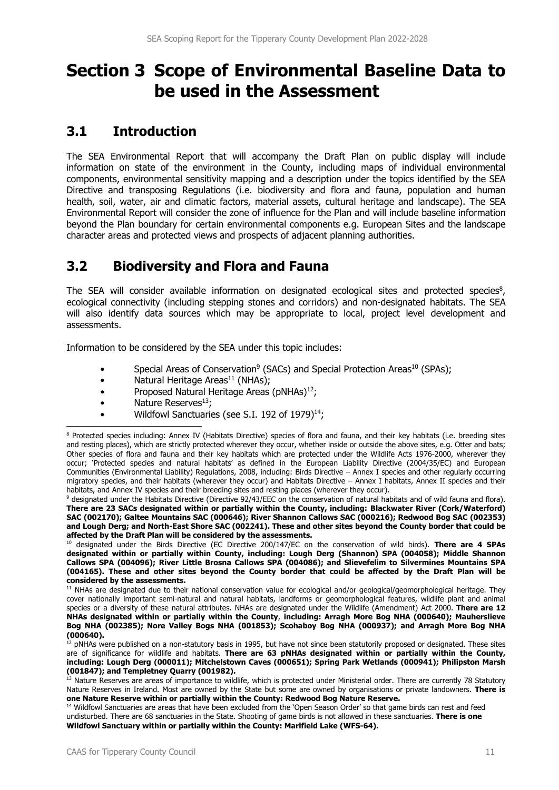# **Section 3 Scope of Environmental Baseline Data to be used in the Assessment**

# **3.1 Introduction**

The SEA Environmental Report that will accompany the Draft Plan on public display will include information on state of the environment in the County, including maps of individual environmental components, environmental sensitivity mapping and a description under the topics identified by the SEA Directive and transposing Regulations (i.e. biodiversity and flora and fauna, population and human health, soil, water, air and climatic factors, material assets, cultural heritage and landscape). The SEA Environmental Report will consider the zone of influence for the Plan and will include baseline information beyond the Plan boundary for certain environmental components e.g. European Sites and the landscape character areas and protected views and prospects of adjacent planning authorities.

# **3.2 Biodiversity and Flora and Fauna**

The SEA will consider available information on designated ecological sites and protected species<sup>8</sup>, ecological connectivity (including stepping stones and corridors) and non-designated habitats. The SEA will also identify data sources which may be appropriate to local, project level development and assessments.

Information to be considered by the SEA under this topic includes:

- Special Areas of Conservation<sup>9</sup> (SACs) and Special Protection Areas<sup>10</sup> (SPAs);
- Natural Heritage Areas<sup>11</sup> (NHAs);
- Proposed Natural Heritage Areas (pNHAs) $^{12}$ ;
- Nature Reserves<sup>13</sup>;
- Wildfowl Sanctuaries (see S.I. 192 of 1979) $^{14}$ ;

 designated under the Habitats Directive (Directive 92/43/EEC on the conservation of natural habitats and of wild fauna and flora). **There are 23 SACs designated within or partially within the County, including: Blackwater River (Cork/Waterford) SAC (002170); Galtee Mountains SAC (000646); River Shannon Callows SAC (000216); Redwood Bog SAC (002353) and Lough Derg; and North-East Shore SAC (002241). These and other sites beyond the County border that could be affected by the Draft Plan will be considered by the assessments.** 

10 designated under the Birds Directive (EC Directive 200/147/EC on the conservation of wild birds). **There are 4 SPAs designated within or partially within County, including: Lough Derg (Shannon) SPA (004058); Middle Shannon Callows SPA (004096); River Little Brosna Callows SPA (004086); and Slievefelim to Silvermines Mountains SPA (004165). These and other sites beyond the County border that could be affected by the Draft Plan will be considered by the assessments.** 

<sup>11</sup> NHAs are designated due to their national conservation value for ecological and/or geological/geomorphological heritage. They cover nationally important semi-natural and natural habitats, landforms or geomorphological features, wildlife plant and animal species or a diversity of these natural attributes. NHAs are designated under the Wildlife (Amendment) Act 2000. **There are 12 NHAs designated within or partially within the County**, **including: Arragh More Bog NHA (000640); Mauherslieve Bog NHA (002385); Nore Valley Bogs NHA (001853); Scohaboy Bog NHA (000937); and Arragh More Bog NHA (000640).** 

<sup>&</sup>lt;sup>8</sup> Protected species including: Annex IV (Habitats Directive) species of flora and fauna, and their key habitats (i.e. breeding sites and resting places), which are strictly protected wherever they occur, whether inside or outside the above sites, e.g. Otter and bats; Other species of flora and fauna and their key habitats which are protected under the Wildlife Acts 1976-2000, wherever they occur; 'Protected species and natural habitats' as defined in the European Liability Directive (2004/35/EC) and European Communities (Environmental Liability) Regulations, 2008, including: Birds Directive – Annex I species and other regularly occurring migratory species, and their habitats (wherever they occur) and Habitats Directive – Annex I habitats, Annex II species and their habitats, and Annex IV species and their breeding sites and resting places (wherever they occur).

<sup>&</sup>lt;sup>12</sup> pNHAs were published on a non-statutory basis in 1995, but have not since been statutorily proposed or designated. These sites are of significance for wildlife and habitats. **There are 63 pNHAs designated within or partially within the County, including: Lough Derg (000011); Mitchelstown Caves (000651); Spring Park Wetlands (000941); Philipston Marsh (001847); and Templetney Quarry (001982).** 

<sup>&</sup>lt;sup>13</sup> Nature Reserves are areas of importance to wildlife, which is protected under Ministerial order. There are currently 78 Statutory Nature Reserves in Ireland. Most are owned by the State but some are owned by organisations or private landowners. **There is one Nature Reserve within or partially within the County: Redwood Bog Nature Reserve.** 

<sup>&</sup>lt;sup>14</sup> Wildfowl Sanctuaries are areas that have been excluded from the 'Open Season Order' so that game birds can rest and feed undisturbed. There are 68 sanctuaries in the State. Shooting of game birds is not allowed in these sanctuaries. **There is one Wildfowl Sanctuary within or partially within the County: Marlfield Lake (WFS-64).**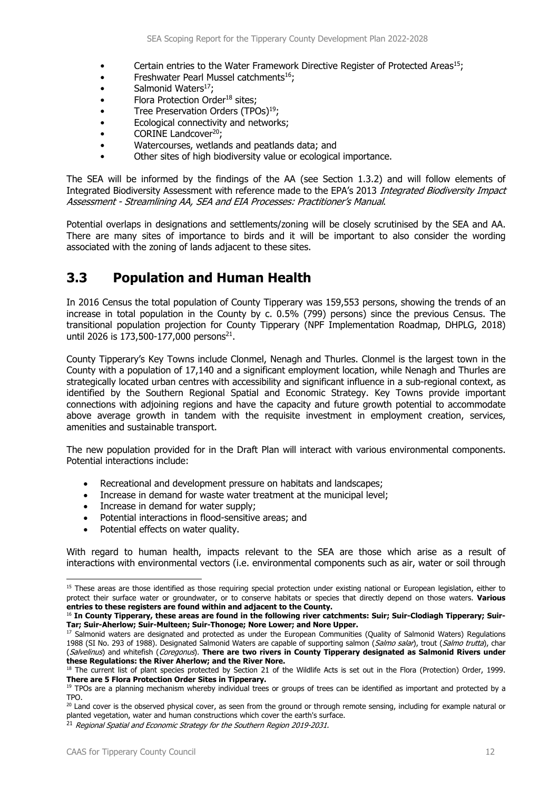- Certain entries to the Water Framework Directive Register of Protected Areas15;
- Freshwater Pearl Mussel catchments<sup>16</sup>;
- $\bullet$  Salmonid Waters<sup>17</sup>;
- Flora Protection Order<sup>18</sup> sites:
- Tree Preservation Orders  $(TPOs)^{19}$ :
- Ecological connectivity and networks;
- CORINE Landcover<sup>20</sup>;
- Watercourses, wetlands and peatlands data; and
- Other sites of high biodiversity value or ecological importance.

The SEA will be informed by the findings of the AA (see Section 1.3.2) and will follow elements of Integrated Biodiversity Assessment with reference made to the EPA's 2013 Integrated Biodiversity Impact Assessment - Streamlining AA, SEA and EIA Processes: Practitioner's Manual.

Potential overlaps in designations and settlements/zoning will be closely scrutinised by the SEA and AA. There are many sites of importance to birds and it will be important to also consider the wording associated with the zoning of lands adjacent to these sites.

# **3.3 Population and Human Health**

In 2016 Census the total population of County Tipperary was 159,553 persons, showing the trends of an increase in total population in the County by c. 0.5% (799) persons) since the previous Census. The transitional population projection for County Tipperary (NPF Implementation Roadmap, DHPLG, 2018) until 2026 is 173,500-177,000 persons<sup>21</sup>.

County Tipperary's Key Towns include Clonmel, Nenagh and Thurles. Clonmel is the largest town in the County with a population of 17,140 and a significant employment location, while Nenagh and Thurles are strategically located urban centres with accessibility and significant influence in a sub-regional context, as identified by the Southern Regional Spatial and Economic Strategy. Key Towns provide important connections with adjoining regions and have the capacity and future growth potential to accommodate above average growth in tandem with the requisite investment in employment creation, services, amenities and sustainable transport.

The new population provided for in the Draft Plan will interact with various environmental components. Potential interactions include:

- Recreational and development pressure on habitats and landscapes;
- Increase in demand for waste water treatment at the municipal level;
- Increase in demand for water supply;
- Potential interactions in flood-sensitive areas; and
- Potential effects on water quality.

With regard to human health, impacts relevant to the SEA are those which arise as a result of interactions with environmental vectors (i.e. environmental components such as air, water or soil through

<sup>&</sup>lt;sup>15</sup> These areas are those identified as those requiring special protection under existing national or European legislation, either to protect their surface water or groundwater, or to conserve habitats or species that directly depend on those waters. **Various entries to these registers are found within and adjacent to the County.** 

<sup>16</sup> **In County Tipperary, these areas are found in the following river catchments: Suir; Suir-Clodiagh Tipperary; Suir-Tar; Suir-Aherlow; Suir-Multeen; Suir-Thonoge; Nore Lower; and Nore Upper.**

<sup>&</sup>lt;sup>17</sup> Salmonid waters are designated and protected as under the European Communities (Quality of Salmonid Waters) Regulations 1988 (SI No. 293 of 1988). Designated Salmonid Waters are capable of supporting salmon (Salmo salar), trout (Salmo trutta), char (Salvelinus) and whitefish (Coregonus). **There are two rivers in County Tipperary designated as Salmonid Rivers under these Regulations: the River Aherlow; and the River Nore.** 

<sup>&</sup>lt;sup>18</sup> The current list of plant species protected by Section 21 of the Wildlife Acts is set out in the Flora (Protection) Order, 1999. **There are 5 Flora Protection Order Sites in Tipperary.**<br><sup>19</sup> TPOs are a planning mechanism whereby individual trees or groups of trees can be identified as important and protected by a

TPO.

 $20$  Land cover is the observed physical cover, as seen from the ground or through remote sensing, including for example natural or planted vegetation, water and human constructions which cover the earth's surface.

<sup>&</sup>lt;sup>21</sup> Regional Spatial and Economic Strategy for the Southern Region 2019-2031.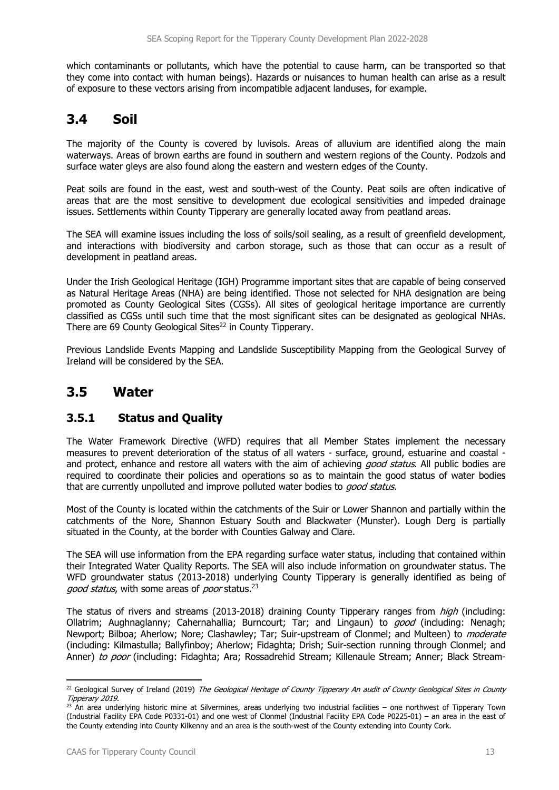which contaminants or pollutants, which have the potential to cause harm, can be transported so that they come into contact with human beings). Hazards or nuisances to human health can arise as a result of exposure to these vectors arising from incompatible adjacent landuses, for example.

# **3.4 Soil**

The maiority of the County is covered by luvisols. Areas of alluvium are identified along the main waterways. Areas of brown earths are found in southern and western regions of the County. Podzols and surface water gleys are also found along the eastern and western edges of the County.

Peat soils are found in the east, west and south-west of the County. Peat soils are often indicative of areas that are the most sensitive to development due ecological sensitivities and impeded drainage issues. Settlements within County Tipperary are generally located away from peatland areas.

The SEA will examine issues including the loss of soils/soil sealing, as a result of greenfield development, and interactions with biodiversity and carbon storage, such as those that can occur as a result of development in peatland areas.

Under the Irish Geological Heritage (IGH) Programme important sites that are capable of being conserved as Natural Heritage Areas (NHA) are being identified. Those not selected for NHA designation are being promoted as County Geological Sites (CGSs). All sites of geological heritage importance are currently classified as CGSs until such time that the most significant sites can be designated as geological NHAs. There are 69 County Geological Sites<sup>22</sup> in County Tipperary.

Previous Landslide Events Mapping and Landslide Susceptibility Mapping from the Geological Survey of Ireland will be considered by the SEA.

### **3.5 Water**

### **3.5.1 Status and Quality**

The Water Framework Directive (WFD) requires that all Member States implement the necessary measures to prevent deterioration of the status of all waters - surface, ground, estuarine and coastal and protect, enhance and restore all waters with the aim of achieving good status. All public bodies are required to coordinate their policies and operations so as to maintain the good status of water bodies that are currently unpolluted and improve polluted water bodies to good status.

Most of the County is located within the catchments of the Suir or Lower Shannon and partially within the catchments of the Nore, Shannon Estuary South and Blackwater (Munster). Lough Derg is partially situated in the County, at the border with Counties Galway and Clare.

The SEA will use information from the EPA regarding surface water status, including that contained within their Integrated Water Quality Reports. The SEA will also include information on groundwater status. The WFD groundwater status (2013-2018) underlying County Tipperary is generally identified as being of good status, with some areas of poor status.<sup>23</sup>

The status of rivers and streams (2013-2018) draining County Tipperary ranges from *high* (including: Ollatrim; Aughnaglanny; Cahernahallia; Burncourt; Tar; and Lingaun) to good (including: Nenagh; Newport; Bilboa; Aherlow; Nore; Clashawley; Tar; Suir-upstream of Clonmel; and Multeen) to *moderate* (including: Kilmastulla; Ballyfinboy; Aherlow; Fidaghta; Drish; Suir-section running through Clonmel; and Anner) to poor (including: Fidaghta; Ara; Rossadrehid Stream; Killenaule Stream; Anner; Black Stream-

<sup>&</sup>lt;sup>22</sup> Geological Survey of Ireland (2019) The Geological Heritage of County Tipperary An audit of County Geological Sites in County Tipperary 2019.

<sup>&</sup>lt;sup>23</sup> An area underlying historic mine at Silvermines, areas underlying two industrial facilities – one northwest of Tipperary Town (Industrial Facility EPA Code P0331-01) and one west of Clonmel (Industrial Facility EPA Code P0225-01) – an area in the east of the County extending into County Kilkenny and an area is the south-west of the County extending into County Cork.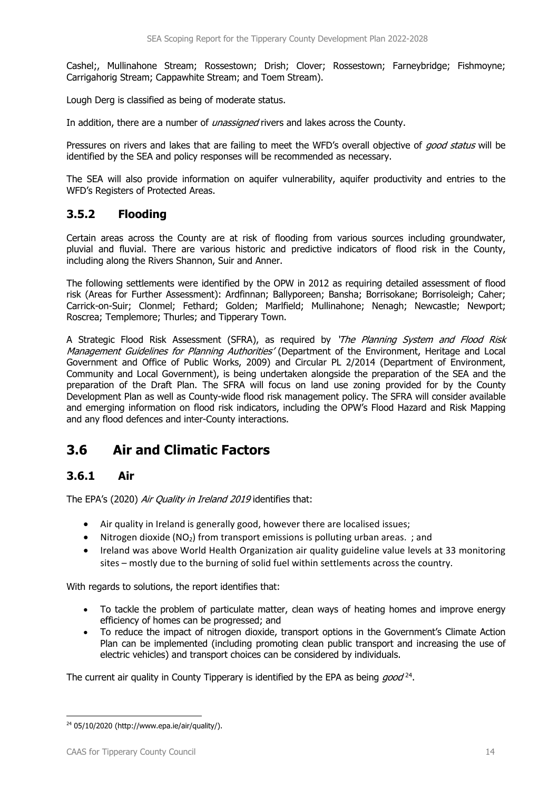Cashel;, Mullinahone Stream; Rossestown; Drish; Clover; Rossestown; Farneybridge; Fishmoyne; Carrigahorig Stream; Cappawhite Stream; and Toem Stream).

Lough Derg is classified as being of moderate status.

In addition, there are a number of *unassigned* rivers and lakes across the County.

Pressures on rivers and lakes that are failing to meet the WFD's overall objective of *good status* will be identified by the SEA and policy responses will be recommended as necessary.

The SEA will also provide information on aquifer vulnerability, aquifer productivity and entries to the WFD's Registers of Protected Areas.

### **3.5.2 Flooding**

Certain areas across the County are at risk of flooding from various sources including groundwater, pluvial and fluvial. There are various historic and predictive indicators of flood risk in the County, including along the Rivers Shannon, Suir and Anner.

The following settlements were identified by the OPW in 2012 as requiring detailed assessment of flood risk (Areas for Further Assessment): Ardfinnan; Ballyporeen; Bansha; Borrisokane; Borrisoleigh; Caher; Carrick-on-Suir; Clonmel; Fethard; Golden; Marlfield; Mullinahone; Nenagh; Newcastle; Newport; Roscrea; Templemore; Thurles; and Tipperary Town.

A Strategic Flood Risk Assessment (SFRA), as required by 'The Planning System and Flood Risk Management Guidelines for Planning Authorities' (Department of the Environment, Heritage and Local Government and Office of Public Works, 2009) and Circular PL 2/2014 (Department of Environment, Community and Local Government), is being undertaken alongside the preparation of the SEA and the preparation of the Draft Plan. The SFRA will focus on land use zoning provided for by the County Development Plan as well as County-wide flood risk management policy. The SFRA will consider available and emerging information on flood risk indicators, including the OPW's Flood Hazard and Risk Mapping and any flood defences and inter-County interactions.

# **3.6 Air and Climatic Factors**

### **3.6.1 Air**

The EPA's (2020) Air Quality in Ireland 2019 identifies that:

- Air quality in Ireland is generally good, however there are localised issues;
- Nitrogen dioxide ( $NO<sub>2</sub>$ ) from transport emissions is polluting urban areas. ; and
- Ireland was above World Health Organization air quality guideline value levels at 33 monitoring sites – mostly due to the burning of solid fuel within settlements across the country.

With regards to solutions, the report identifies that:

- To tackle the problem of particulate matter, clean ways of heating homes and improve energy efficiency of homes can be progressed; and
- To reduce the impact of nitrogen dioxide, transport options in the Government's Climate Action Plan can be implemented (including promoting clean public transport and increasing the use of electric vehicles) and transport choices can be considered by individuals.

The current air quality in County Tipperary is identified by the EPA as being  $qood^{24}$ .

<sup>24 05/10/2020 (</sup>http://www.epa.ie/air/quality/).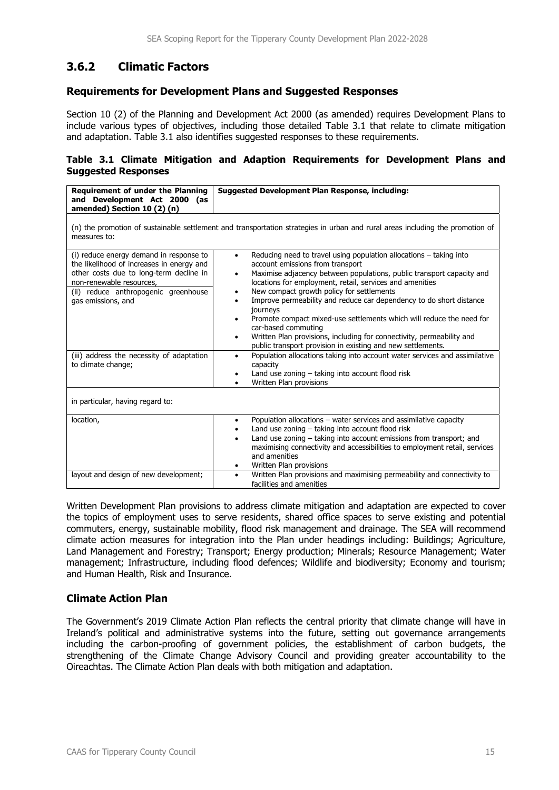### **3.6.2 Climatic Factors**

#### **Requirements for Development Plans and Suggested Responses**

Section 10 (2) of the Planning and Development Act 2000 (as amended) requires Development Plans to include various types of objectives, including those detailed Table 3.1 that relate to climate mitigation and adaptation. Table 3.1 also identifies suggested responses to these requirements.

#### **Table 3.1 Climate Mitigation and Adaption Requirements for Development Plans and Suggested Responses**

| Requirement of under the Planning<br>and Development Act 2000 (as<br>amended) Section 10 (2) (n)                                                                                                                                                                                             | Suggested Development Plan Response, including:                                                                                                                                                                                                                                                                                                                                                                                                                                                                                                                                                                                                                                                                                                                                                                                  |  |  |
|----------------------------------------------------------------------------------------------------------------------------------------------------------------------------------------------------------------------------------------------------------------------------------------------|----------------------------------------------------------------------------------------------------------------------------------------------------------------------------------------------------------------------------------------------------------------------------------------------------------------------------------------------------------------------------------------------------------------------------------------------------------------------------------------------------------------------------------------------------------------------------------------------------------------------------------------------------------------------------------------------------------------------------------------------------------------------------------------------------------------------------------|--|--|
| (n) the promotion of sustainable settlement and transportation strategies in urban and rural areas including the promotion of<br>measures to:                                                                                                                                                |                                                                                                                                                                                                                                                                                                                                                                                                                                                                                                                                                                                                                                                                                                                                                                                                                                  |  |  |
| (i) reduce energy demand in response to<br>the likelihood of increases in energy and<br>other costs due to long-term decline in<br>non-renewable resources,<br>(ii) reduce anthropogenic greenhouse<br>gas emissions, and<br>(iii) address the necessity of adaptation<br>to climate change; | Reducing need to travel using population allocations – taking into<br>$\bullet$<br>account emissions from transport<br>Maximise adjacency between populations, public transport capacity and<br>$\bullet$<br>locations for employment, retail, services and amenities<br>New compact growth policy for settlements<br>٠<br>Improve permeability and reduce car dependency to do short distance<br>٠<br>journeys<br>Promote compact mixed-use settlements which will reduce the need for<br>٠<br>car-based commuting<br>Written Plan provisions, including for connectivity, permeability and<br>٠<br>public transport provision in existing and new settlements.<br>Population allocations taking into account water services and assimilative<br>$\bullet$<br>capacity<br>Land use zoning - taking into account flood risk<br>٠ |  |  |
| Written Plan provisions<br>in particular, having regard to:                                                                                                                                                                                                                                  |                                                                                                                                                                                                                                                                                                                                                                                                                                                                                                                                                                                                                                                                                                                                                                                                                                  |  |  |
| location,                                                                                                                                                                                                                                                                                    | Population allocations - water services and assimilative capacity<br>$\bullet$<br>Land use zoning - taking into account flood risk<br>Land use zoning - taking into account emissions from transport; and<br>$\bullet$<br>maximising connectivity and accessibilities to employment retail, services<br>and amenities<br>Written Plan provisions<br>٠                                                                                                                                                                                                                                                                                                                                                                                                                                                                            |  |  |
| layout and design of new development;                                                                                                                                                                                                                                                        | Written Plan provisions and maximising permeability and connectivity to<br>$\bullet$<br>facilities and amenities                                                                                                                                                                                                                                                                                                                                                                                                                                                                                                                                                                                                                                                                                                                 |  |  |

Written Development Plan provisions to address climate mitigation and adaptation are expected to cover the topics of employment uses to serve residents, shared office spaces to serve existing and potential commuters, energy, sustainable mobility, flood risk management and drainage. The SEA will recommend climate action measures for integration into the Plan under headings including: Buildings; Agriculture, Land Management and Forestry; Transport; Energy production; Minerals; Resource Management; Water management; Infrastructure, including flood defences; Wildlife and biodiversity; Economy and tourism; and Human Health, Risk and Insurance.

#### **Climate Action Plan**

The Government's 2019 Climate Action Plan reflects the central priority that climate change will have in Ireland's political and administrative systems into the future, setting out governance arrangements including the carbon-proofing of government policies, the establishment of carbon budgets, the strengthening of the Climate Change Advisory Council and providing greater accountability to the Oireachtas. The Climate Action Plan deals with both mitigation and adaptation.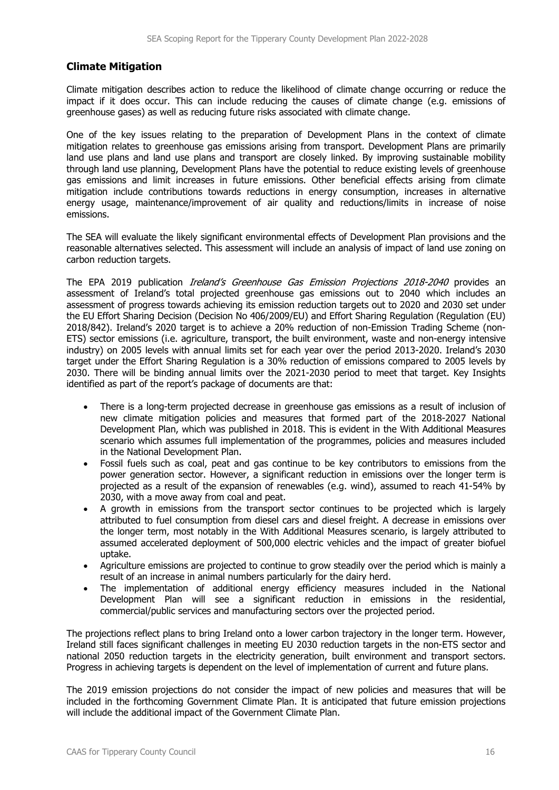#### **Climate Mitigation**

Climate mitigation describes action to reduce the likelihood of climate change occurring or reduce the impact if it does occur. This can include reducing the causes of climate change (e.g. emissions of greenhouse gases) as well as reducing future risks associated with climate change.

One of the key issues relating to the preparation of Development Plans in the context of climate mitigation relates to greenhouse gas emissions arising from transport. Development Plans are primarily land use plans and land use plans and transport are closely linked. By improving sustainable mobility through land use planning, Development Plans have the potential to reduce existing levels of greenhouse gas emissions and limit increases in future emissions. Other beneficial effects arising from climate mitigation include contributions towards reductions in energy consumption, increases in alternative energy usage, maintenance/improvement of air quality and reductions/limits in increase of noise emissions.

The SEA will evaluate the likely significant environmental effects of Development Plan provisions and the reasonable alternatives selected. This assessment will include an analysis of impact of land use zoning on carbon reduction targets.

The EPA 2019 publication *Ireland's Greenhouse Gas Emission Projections 2018-2040* provides an assessment of Ireland's total projected greenhouse gas emissions out to 2040 which includes an assessment of progress towards achieving its emission reduction targets out to 2020 and 2030 set under the EU Effort Sharing Decision (Decision No 406/2009/EU) and Effort Sharing Regulation (Regulation (EU) 2018/842). Ireland's 2020 target is to achieve a 20% reduction of non-Emission Trading Scheme (non-ETS) sector emissions (i.e. agriculture, transport, the built environment, waste and non-energy intensive industry) on 2005 levels with annual limits set for each year over the period 2013-2020. Ireland's 2030 target under the Effort Sharing Regulation is a 30% reduction of emissions compared to 2005 levels by 2030. There will be binding annual limits over the 2021‐2030 period to meet that target. Key Insights identified as part of the report's package of documents are that:

- There is a long-term projected decrease in greenhouse gas emissions as a result of inclusion of new climate mitigation policies and measures that formed part of the 2018-2027 National Development Plan, which was published in 2018. This is evident in the With Additional Measures scenario which assumes full implementation of the programmes, policies and measures included in the National Development Plan.
- Fossil fuels such as coal, peat and gas continue to be key contributors to emissions from the power generation sector. However, a significant reduction in emissions over the longer term is projected as a result of the expansion of renewables (e.g. wind), assumed to reach 41‐54% by 2030, with a move away from coal and peat.
- A growth in emissions from the transport sector continues to be projected which is largely attributed to fuel consumption from diesel cars and diesel freight. A decrease in emissions over the longer term, most notably in the With Additional Measures scenario, is largely attributed to assumed accelerated deployment of 500,000 electric vehicles and the impact of greater biofuel uptake.
- Agriculture emissions are projected to continue to grow steadily over the period which is mainly a result of an increase in animal numbers particularly for the dairy herd.
- The implementation of additional energy efficiency measures included in the National Development Plan will see a significant reduction in emissions in the residential, commercial/public services and manufacturing sectors over the projected period.

The projections reflect plans to bring Ireland onto a lower carbon trajectory in the longer term. However, Ireland still faces significant challenges in meeting EU 2030 reduction targets in the non-ETS sector and national 2050 reduction targets in the electricity generation, built environment and transport sectors. Progress in achieving targets is dependent on the level of implementation of current and future plans.

The 2019 emission projections do not consider the impact of new policies and measures that will be included in the forthcoming Government Climate Plan. It is anticipated that future emission projections will include the additional impact of the Government Climate Plan.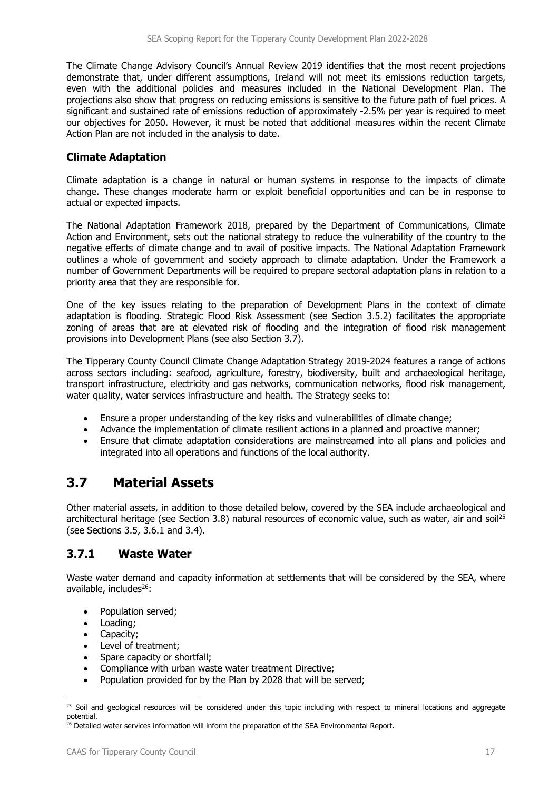The Climate Change Advisory Council's Annual Review 2019 identifies that the most recent projections demonstrate that, under different assumptions, Ireland will not meet its emissions reduction targets, even with the additional policies and measures included in the National Development Plan. The projections also show that progress on reducing emissions is sensitive to the future path of fuel prices. A significant and sustained rate of emissions reduction of approximately -2.5% per year is required to meet our objectives for 2050. However, it must be noted that additional measures within the recent Climate Action Plan are not included in the analysis to date.

#### **Climate Adaptation**

Climate adaptation is a change in natural or human systems in response to the impacts of climate change. These changes moderate harm or exploit beneficial opportunities and can be in response to actual or expected impacts.

The National Adaptation Framework 2018, prepared by the Department of Communications, Climate Action and Environment, sets out the national strategy to reduce the vulnerability of the country to the negative effects of climate change and to avail of positive impacts. The National Adaptation Framework outlines a whole of government and society approach to climate adaptation. Under the Framework a number of Government Departments will be required to prepare sectoral adaptation plans in relation to a priority area that they are responsible for.

One of the key issues relating to the preparation of Development Plans in the context of climate adaptation is flooding. Strategic Flood Risk Assessment (see Section 3.5.2) facilitates the appropriate zoning of areas that are at elevated risk of flooding and the integration of flood risk management provisions into Development Plans (see also Section 3.7).

The Tipperary County Council Climate Change Adaptation Strategy 2019-2024 features a range of actions across sectors including: seafood, agriculture, forestry, biodiversity, built and archaeological heritage, transport infrastructure, electricity and gas networks, communication networks, flood risk management, water quality, water services infrastructure and health. The Strategy seeks to:

- Ensure a proper understanding of the key risks and vulnerabilities of climate change;
- Advance the implementation of climate resilient actions in a planned and proactive manner;
- Ensure that climate adaptation considerations are mainstreamed into all plans and policies and integrated into all operations and functions of the local authority.

# **3.7 Material Assets**

Other material assets, in addition to those detailed below, covered by the SEA include archaeological and architectural heritage (see Section 3.8) natural resources of economic value, such as water, air and soil<sup>25</sup> (see Sections 3.5, 3.6.1 and 3.4).

#### **3.7.1 Waste Water**

Waste water demand and capacity information at settlements that will be considered by the SEA, where available, includes $26$ :

- Population served:
- Loading:
- Capacity:
- Level of treatment;
- Spare capacity or shortfall;
- Compliance with urban waste water treatment Directive;
- Population provided for by the Plan by 2028 that will be served;

 $25$  Soil and geological resources will be considered under this topic including with respect to mineral locations and aggregate potential.

<sup>&</sup>lt;sup>26</sup> Detailed water services information will inform the preparation of the SEA Environmental Report.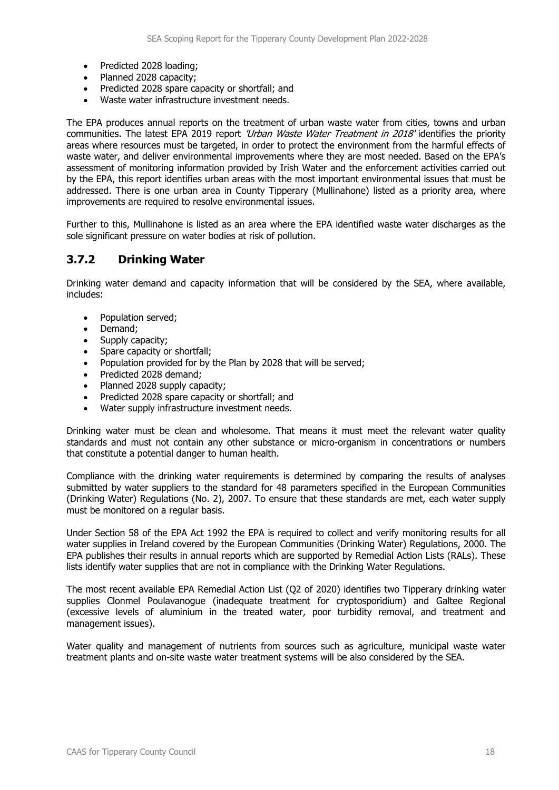- Predicted 2028 loading:
- Planned 2028 capacity;
- Predicted 2028 spare capacity or shortfall; and
- Waste water infrastructure investment needs.

The EPA produces annual reports on the treatment of urban waste water from cities, towns and urban communities. The latest EPA 2019 report 'Urban Waste Water Treatment in 2018' identifies the priority areas where resources must be targeted, in order to protect the environment from the harmful effects of waste water, and deliver environmental improvements where they are most needed. Based on the EPA's assessment of monitoring information provided by Irish Water and the enforcement activities carried out by the EPA, this report identifies urban areas with the most important environmental issues that must be addressed. There is one urban area in County Tipperary (Mullinahone) listed as a priority area, where improvements are required to resolve environmental issues.

Further to this, Mullinahone is listed as an area where the EPA identified waste water discharges as the sole significant pressure on water bodies at risk of pollution.

### **3.7.2 Drinking Water**

Drinking water demand and capacity information that will be considered by the SEA, where available, includes:

- Population served;
- Demand;
- Supply capacity;
- Spare capacity or shortfall;
- Population provided for by the Plan by 2028 that will be served;
- Predicted 2028 demand;
- Planned 2028 supply capacity;
- Predicted 2028 spare capacity or shortfall; and
- Water supply infrastructure investment needs.

Drinking water must be clean and wholesome. That means it must meet the relevant water quality standards and must not contain any other substance or micro-organism in concentrations or numbers that constitute a potential danger to human health.

Compliance with the drinking water requirements is determined by comparing the results of analyses submitted by water suppliers to the standard for 48 parameters specified in the European Communities (Drinking Water) Regulations (No. 2), 2007. To ensure that these standards are met, each water supply must be monitored on a regular basis.

Under Section 58 of the EPA Act 1992 the EPA is required to collect and verify monitoring results for all water supplies in Ireland covered by the European Communities (Drinking Water) Regulations, 2000. The EPA publishes their results in annual reports which are supported by Remedial Action Lists (RALs). These lists identify water supplies that are not in compliance with the Drinking Water Regulations.

The most recent available EPA Remedial Action List (Q2 of 2020) identifies two Tipperary drinking water supplies Clonmel Poulavanogue (inadequate treatment for cryptosporidium) and Galtee Regional (excessive levels of aluminium in the treated water, poor turbidity removal, and treatment and management issues).

Water quality and management of nutrients from sources such as agriculture, municipal waste water treatment plants and on-site waste water treatment systems will be also considered by the SEA.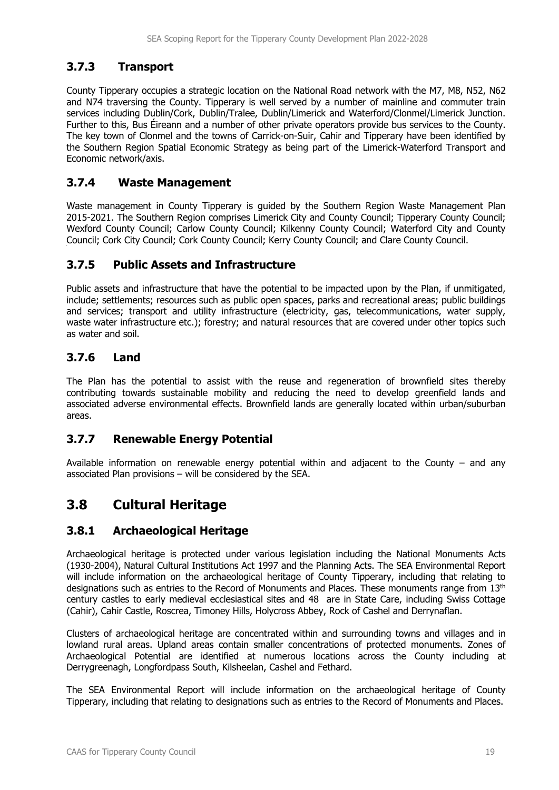### **3.7.3 Transport**

County Tipperary occupies a strategic location on the National Road network with the M7, M8, N52, N62 and N74 traversing the County. Tipperary is well served by a number of mainline and commuter train services including Dublin/Cork, Dublin/Tralee, Dublin/Limerick and Waterford/Clonmel/Limerick Junction. Further to this, Bus Éireann and a number of other private operators provide bus services to the County. The key town of Clonmel and the towns of Carrick-on-Suir, Cahir and Tipperary have been identified by the Southern Region Spatial Economic Strategy as being part of the Limerick-Waterford Transport and Economic network/axis.

### **3.7.4 Waste Management**

Waste management in County Tipperary is guided by the Southern Region Waste Management Plan 2015-2021. The Southern Region comprises Limerick City and County Council; Tipperary County Council; Wexford County Council; Carlow County Council; Kilkenny County Council; Waterford City and County Council; Cork City Council; Cork County Council; Kerry County Council; and Clare County Council.

### **3.7.5 Public Assets and Infrastructure**

Public assets and infrastructure that have the potential to be impacted upon by the Plan, if unmitigated, include; settlements; resources such as public open spaces, parks and recreational areas; public buildings and services; transport and utility infrastructure (electricity, gas, telecommunications, water supply, waste water infrastructure etc.); forestry; and natural resources that are covered under other topics such as water and soil.

### **3.7.6 Land**

The Plan has the potential to assist with the reuse and regeneration of brownfield sites thereby contributing towards sustainable mobility and reducing the need to develop greenfield lands and associated adverse environmental effects. Brownfield lands are generally located within urban/suburban areas.

### **3.7.7 Renewable Energy Potential**

Available information on renewable energy potential within and adjacent to the County – and any associated Plan provisions – will be considered by the SEA.

# **3.8 Cultural Heritage**

### **3.8.1 Archaeological Heritage**

Archaeological heritage is protected under various legislation including the National Monuments Acts (1930-2004), Natural Cultural Institutions Act 1997 and the Planning Acts. The SEA Environmental Report will include information on the archaeological heritage of County Tipperary, including that relating to designations such as entries to the Record of Monuments and Places. These monuments range from 13<sup>th</sup> century castles to early medieval ecclesiastical sites and 48 are in State Care, including Swiss Cottage (Cahir), Cahir Castle, Roscrea, Timoney Hills, Holycross Abbey, Rock of Cashel and Derrynaflan.

Clusters of archaeological heritage are concentrated within and surrounding towns and villages and in lowland rural areas. Upland areas contain smaller concentrations of protected monuments. Zones of Archaeological Potential are identified at numerous locations across the County including at Derrygreenagh, Longfordpass South, Kilsheelan, Cashel and Fethard.

The SEA Environmental Report will include information on the archaeological heritage of County Tipperary, including that relating to designations such as entries to the Record of Monuments and Places.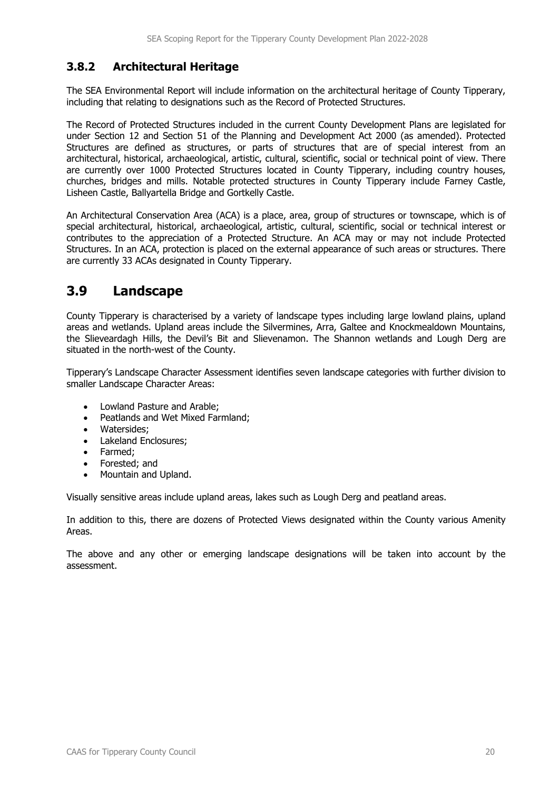### **3.8.2 Architectural Heritage**

The SEA Environmental Report will include information on the architectural heritage of County Tipperary, including that relating to designations such as the Record of Protected Structures.

The Record of Protected Structures included in the current County Development Plans are legislated for under Section 12 and Section 51 of the Planning and Development Act 2000 (as amended). Protected Structures are defined as structures, or parts of structures that are of special interest from an architectural, historical, archaeological, artistic, cultural, scientific, social or technical point of view. There are currently over 1000 Protected Structures located in County Tipperary, including country houses, churches, bridges and mills. Notable protected structures in County Tipperary include Farney Castle, Lisheen Castle, Ballyartella Bridge and Gortkelly Castle.

An Architectural Conservation Area (ACA) is a place, area, group of structures or townscape, which is of special architectural, historical, archaeological, artistic, cultural, scientific, social or technical interest or contributes to the appreciation of a Protected Structure. An ACA may or may not include Protected Structures. In an ACA, protection is placed on the external appearance of such areas or structures. There are currently 33 ACAs designated in County Tipperary.

## **3.9 Landscape**

County Tipperary is characterised by a variety of landscape types including large lowland plains, upland areas and wetlands. Upland areas include the Silvermines, Arra, Galtee and Knockmealdown Mountains, the Slieveardagh Hills, the Devil's Bit and Slievenamon. The Shannon wetlands and Lough Derg are situated in the north-west of the County.

Tipperary's Landscape Character Assessment identifies seven landscape categories with further division to smaller Landscape Character Areas:

- Lowland Pasture and Arable;
- Peatlands and Wet Mixed Farmland;
- Watersides:
- Lakeland Enclosures:
- Farmed:
- Forested; and
- Mountain and Upland.

Visually sensitive areas include upland areas, lakes such as Lough Derg and peatland areas.

In addition to this, there are dozens of Protected Views designated within the County various Amenity Areas.

The above and any other or emerging landscape designations will be taken into account by the assessment.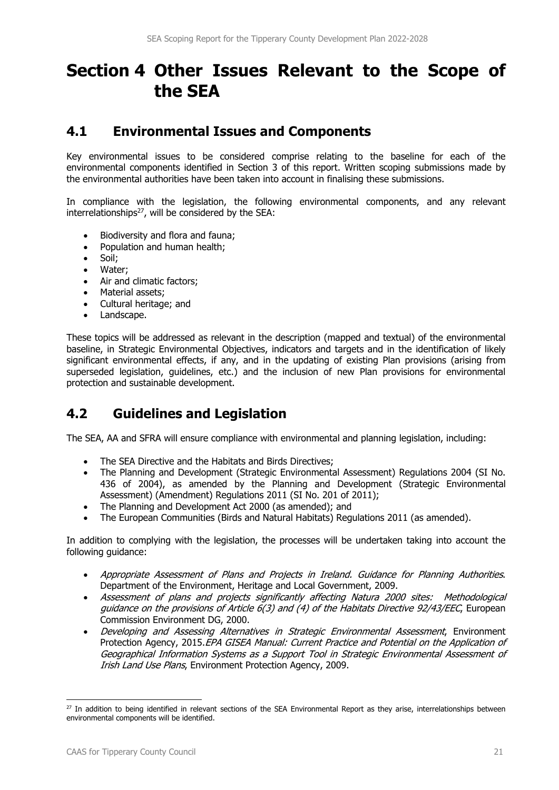# **Section 4 Other Issues Relevant to the Scope of the SEA**

## **4.1 Environmental Issues and Components**

Key environmental issues to be considered comprise relating to the baseline for each of the environmental components identified in Section 3 of this report. Written scoping submissions made by the environmental authorities have been taken into account in finalising these submissions.

In compliance with the legislation, the following environmental components, and any relevant interrelationships $^{27}$ , will be considered by the SEA:

- Biodiversity and flora and fauna;
- Population and human health;
- Soil:
- Water;
- Air and climatic factors:
- Material assets:
- Cultural heritage; and
- Landscape.

These topics will be addressed as relevant in the description (mapped and textual) of the environmental baseline, in Strategic Environmental Objectives, indicators and targets and in the identification of likely significant environmental effects, if any, and in the updating of existing Plan provisions (arising from superseded legislation, guidelines, etc.) and the inclusion of new Plan provisions for environmental protection and sustainable development.

# **4.2 Guidelines and Legislation**

The SEA, AA and SFRA will ensure compliance with environmental and planning legislation, including:

- The SEA Directive and the Habitats and Birds Directives:
- The Planning and Development (Strategic Environmental Assessment) Regulations 2004 (SI No. 436 of 2004), as amended by the Planning and Development (Strategic Environmental Assessment) (Amendment) Regulations 2011 (SI No. 201 of 2011);
- The Planning and Development Act 2000 (as amended); and
- The European Communities (Birds and Natural Habitats) Regulations 2011 (as amended).

In addition to complying with the legislation, the processes will be undertaken taking into account the following guidance:

- Appropriate Assessment of Plans and Projects in Ireland. Guidance for Planning Authorities. Department of the Environment, Heritage and Local Government, 2009.
- Assessment of plans and projects significantly affecting Natura 2000 sites: Methodological guidance on the provisions of Article 6(3) and (4) of the Habitats Directive 92/43/EEC, European Commission Environment DG, 2000.
- Developing and Assessing Alternatives in Strategic Environmental Assessment, Environment Protection Agency, 2015.EPA GISEA Manual: Current Practice and Potential on the Application of Geographical Information Systems as a Support Tool in Strategic Environmental Assessment of Irish Land Use Plans, Environment Protection Agency, 2009.

<sup>&</sup>lt;sup>27</sup> In addition to being identified in relevant sections of the SEA Environmental Report as they arise, interrelationships between environmental components will be identified.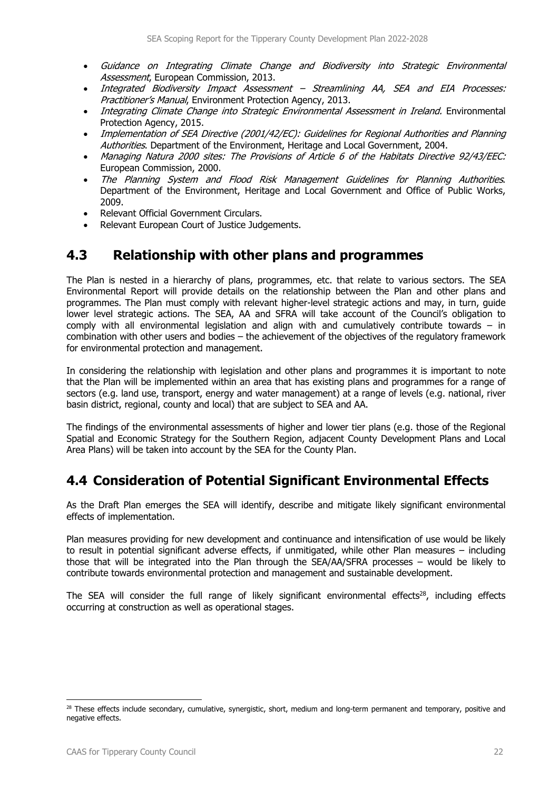- Guidance on Integrating Climate Change and Biodiversity into Strategic Environmental Assessment, European Commission, 2013.
- Integrated Biodiversity Impact Assessment Streamlining AA, SEA and EIA Processes: Practitioner's Manual, Environment Protection Agency, 2013.
- Integrating Climate Change into Strategic Environmental Assessment in Ireland. Environmental Protection Agency, 2015.
- Implementation of SEA Directive (2001/42/EC): Guidelines for Regional Authorities and Planning Authorities. Department of the Environment, Heritage and Local Government, 2004.
- Managing Natura 2000 sites: The Provisions of Article 6 of the Habitats Directive 92/43/EEC: European Commission, 2000.
- The Planning System and Flood Risk Management Guidelines for Planning Authorities. Department of the Environment, Heritage and Local Government and Office of Public Works, 2009.
- Relevant Official Government Circulars.
- Relevant European Court of Justice Judgements.

### **4.3 Relationship with other plans and programmes**

The Plan is nested in a hierarchy of plans, programmes, etc. that relate to various sectors. The SEA Environmental Report will provide details on the relationship between the Plan and other plans and programmes. The Plan must comply with relevant higher-level strategic actions and may, in turn, guide lower level strategic actions. The SEA, AA and SFRA will take account of the Council's obligation to comply with all environmental legislation and align with and cumulatively contribute towards – in combination with other users and bodies – the achievement of the objectives of the regulatory framework for environmental protection and management.

In considering the relationship with legislation and other plans and programmes it is important to note that the Plan will be implemented within an area that has existing plans and programmes for a range of sectors (e.g. land use, transport, energy and water management) at a range of levels (e.g. national, river basin district, regional, county and local) that are subject to SEA and AA.

The findings of the environmental assessments of higher and lower tier plans (e.g. those of the Regional Spatial and Economic Strategy for the Southern Region, adjacent County Development Plans and Local Area Plans) will be taken into account by the SEA for the County Plan.

# **4.4 Consideration of Potential Significant Environmental Effects**

As the Draft Plan emerges the SEA will identify, describe and mitigate likely significant environmental effects of implementation.

Plan measures providing for new development and continuance and intensification of use would be likely to result in potential significant adverse effects, if unmitigated, while other Plan measures – including those that will be integrated into the Plan through the SEA/AA/SFRA processes – would be likely to contribute towards environmental protection and management and sustainable development.

The SEA will consider the full range of likely significant environmental effects<sup>28</sup>, including effects occurring at construction as well as operational stages.

<sup>&</sup>lt;sup>28</sup> These effects include secondary, cumulative, synergistic, short, medium and long-term permanent and temporary, positive and negative effects.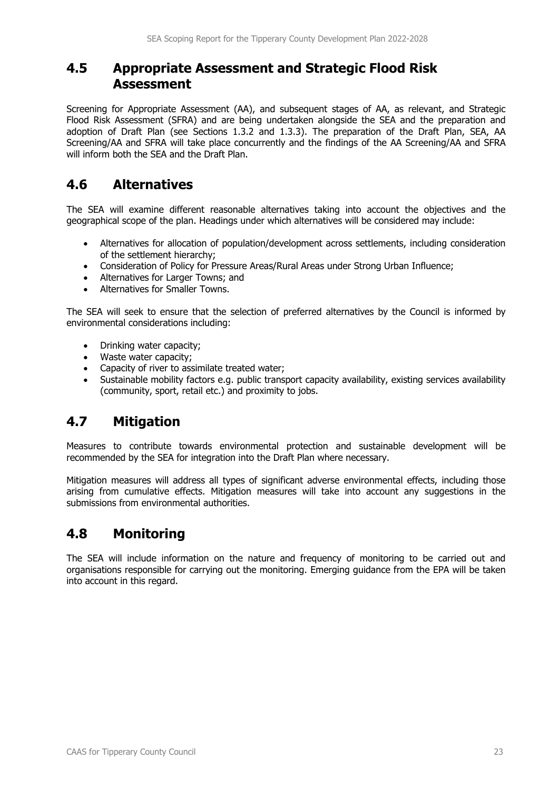### **4.5 Appropriate Assessment and Strategic Flood Risk Assessment**

Screening for Appropriate Assessment (AA), and subsequent stages of AA, as relevant, and Strategic Flood Risk Assessment (SFRA) and are being undertaken alongside the SEA and the preparation and adoption of Draft Plan (see Sections 1.3.2 and 1.3.3). The preparation of the Draft Plan, SEA, AA Screening/AA and SFRA will take place concurrently and the findings of the AA Screening/AA and SFRA will inform both the SEA and the Draft Plan.

# **4.6 Alternatives**

The SEA will examine different reasonable alternatives taking into account the objectives and the geographical scope of the plan. Headings under which alternatives will be considered may include:

- Alternatives for allocation of population/development across settlements, including consideration of the settlement hierarchy;
- Consideration of Policy for Pressure Areas/Rural Areas under Strong Urban Influence;
- Alternatives for Larger Towns; and
- Alternatives for Smaller Towns.

The SEA will seek to ensure that the selection of preferred alternatives by the Council is informed by environmental considerations including:

- Drinking water capacity;
- Waste water capacity;
- Capacity of river to assimilate treated water;
- Sustainable mobility factors e.g. public transport capacity availability, existing services availability (community, sport, retail etc.) and proximity to jobs.

# **4.7 Mitigation**

Measures to contribute towards environmental protection and sustainable development will be recommended by the SEA for integration into the Draft Plan where necessary.

Mitigation measures will address all types of significant adverse environmental effects, including those arising from cumulative effects. Mitigation measures will take into account any suggestions in the submissions from environmental authorities.

# **4.8 Monitoring**

The SEA will include information on the nature and frequency of monitoring to be carried out and organisations responsible for carrying out the monitoring. Emerging guidance from the EPA will be taken into account in this regard.